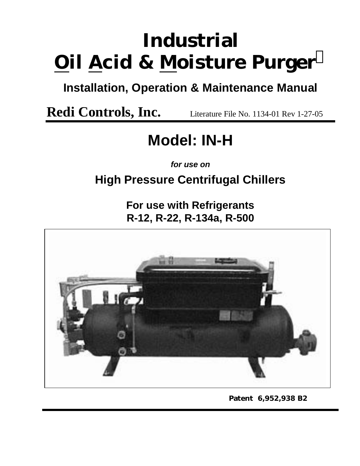# **Industrial Oil Acid & Moisture Purger<sup>ä</sup>**

**Installation, Operation & Maintenance Manual**

Redi Controls, Inc. Literature File No. 1134-01 Rev 1-27-05

# **Model: IN-H**

*for use on*

**High Pressure Centrifugal Chillers**

**For use with Refrigerants R-12, R-22, R-134a, R-500**



**Patent 6,952,938 B2**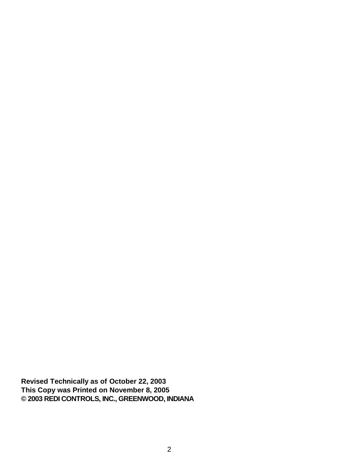**Revised Technically as of October 22, 2003 This Copy was Printed on November 8, 2005 © 2003 REDI CONTROLS, INC., GREENWOOD, INDIANA**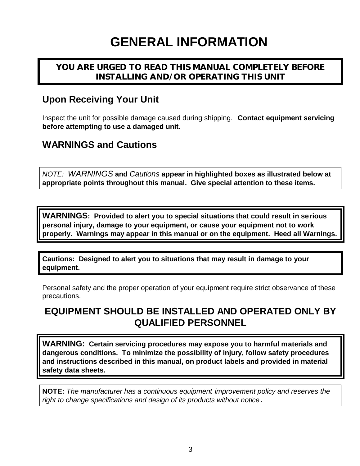## **GENERAL INFORMATION**

#### **YOU ARE URGED TO READ THIS MANUAL COMPLETELY** *BEFORE* **INSTALLING AND/OR OPERATING THIS UNIT**

#### **Upon Receiving Your Unit**

Inspect the unit for possible damage caused during shipping. **Contact equipment servicing before attempting to use a damaged unit.**

#### **WARNINGS and Cautions**

*NOTE:**WARNINGS* **and** *Cautions* **appear in highlighted boxes as illustrated below at appropriate points throughout this manual. Give special attention to these items.**

**WARNINGS: Provided to alert you to special situations that could result in serious personal injury, damage to your equipment, or cause your equipment not to work properly. Warnings may appear in this manual or on the equipment. Heed all Warnings.**

**Cautions: Designed to alert you to situations that may result in damage to your equipment.**

Personal safety and the proper operation of your equipment require strict observance of these precautions.

#### **EQUIPMENT SHOULD BE INSTALLED AND OPERATED ONLY BY QUALIFIED PERSONNEL**

**WARNING: Certain servicing procedures may expose you to harmful materials and dangerous conditions. To minimize the possibility of injury, follow safety procedures and instructions described in this manual, on product labels and provided in material safety data sheets.**

**NOTE:** *The manufacturer has a continuous equipment improvement policy and reserves the right to change specifications and design of its products without notice* **.**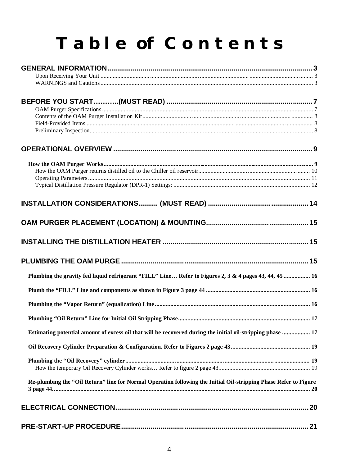# Table of Contents

| Plumbing the gravity fed liquid refrigerant "FILL" Line Refer to Figures 2, 3 & 4 pages 43, 44, 45  16           |  |
|------------------------------------------------------------------------------------------------------------------|--|
|                                                                                                                  |  |
|                                                                                                                  |  |
|                                                                                                                  |  |
| Estimating potential amount of excess oil that will be recovered during the initial oil-stripping phase  17      |  |
|                                                                                                                  |  |
|                                                                                                                  |  |
|                                                                                                                  |  |
| Re-plumbing the "Oil Return" line for Normal Operation following the Initial Oil-stripping Phase Refer to Figure |  |
|                                                                                                                  |  |
|                                                                                                                  |  |
|                                                                                                                  |  |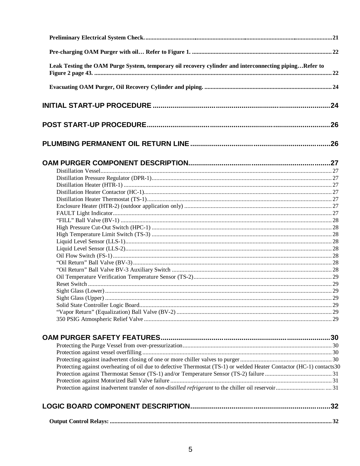| Leak Testing the OAM Purge System, temporary oil recovery cylinder and interconnecting pipingRefer to                 |  |
|-----------------------------------------------------------------------------------------------------------------------|--|
|                                                                                                                       |  |
|                                                                                                                       |  |
|                                                                                                                       |  |
|                                                                                                                       |  |
|                                                                                                                       |  |
|                                                                                                                       |  |
|                                                                                                                       |  |
|                                                                                                                       |  |
|                                                                                                                       |  |
|                                                                                                                       |  |
|                                                                                                                       |  |
|                                                                                                                       |  |
|                                                                                                                       |  |
|                                                                                                                       |  |
|                                                                                                                       |  |
|                                                                                                                       |  |
|                                                                                                                       |  |
|                                                                                                                       |  |
|                                                                                                                       |  |
|                                                                                                                       |  |
|                                                                                                                       |  |
|                                                                                                                       |  |
|                                                                                                                       |  |
|                                                                                                                       |  |
|                                                                                                                       |  |
|                                                                                                                       |  |
|                                                                                                                       |  |
|                                                                                                                       |  |
|                                                                                                                       |  |
|                                                                                                                       |  |
|                                                                                                                       |  |
| Protecting against overheating of oil due to defective Thermostat (TS-1) or welded Heater Contactor (HC-1) contacts30 |  |
|                                                                                                                       |  |
|                                                                                                                       |  |
|                                                                                                                       |  |
|                                                                                                                       |  |
|                                                                                                                       |  |
|                                                                                                                       |  |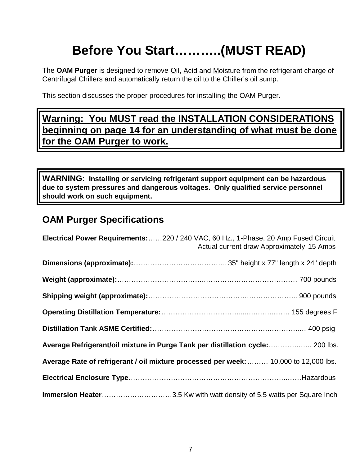# **Before You Start………..(MUST READ)**

The OAM Purger is designed to remove *Qil, Acid and Moisture from the refrigerant charge of* Centrifugal Chillers and automatically return the oil to the Chiller's oil sump.

This section discusses the proper procedures for installing the OAM Purger.

### **Warning: You MUST read the INSTALLATION CONSIDERATIONS beginning on page 14 for an understanding of what must be done for the OAM Purger to work.**

**WARNING: Installing or servicing refrigerant support equipment can be hazardous due to system pressures and dangerous voltages. Only qualified service personnel should work on such equipment.**

#### **OAM Purger Specifications**

| Electrical Power Requirements:220 / 240 VAC, 60 Hz., 1-Phase, 20 Amp Fused Circuit   | Actual current draw Approximately 15 Amps |
|--------------------------------------------------------------------------------------|-------------------------------------------|
|                                                                                      |                                           |
|                                                                                      |                                           |
|                                                                                      |                                           |
|                                                                                      |                                           |
|                                                                                      |                                           |
| Average Refrigerant/oil mixture in Purge Tank per distillation cycle: 200 lbs.       |                                           |
| Average Rate of refrigerant / oil mixture processed per week:  10,000 to 12,000 lbs. |                                           |
|                                                                                      |                                           |
| Immersion Heater3.5 Kw with watt density of 5.5 watts per Square Inch                |                                           |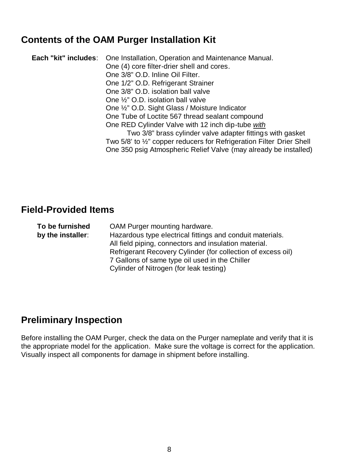#### **Contents of the OAM Purger Installation Kit**

**Each "kit" includes**: One Installation, Operation and Maintenance Manual. One (4) core filter-drier shell and cores. One 3/8" O.D. Inline Oil Filter. One 1/2" O.D. Refrigerant Strainer One 3/8" O.D. isolation ball valve One ½" O.D. isolation ball valve One ½" O.D. Sight Glass / Moisture Indicator One Tube of Loctite 567 thread sealant compound One RED Cylinder Valve with 12 inch dip-tube *with* Two 3/8" brass cylinder valve adapter fittings with gasket Two 5/8' to ½" copper reducers for Refrigeration Filter Drier Shell One 350 psig Atmospheric Relief Valve (may already be installed)

#### **Field-Provided Items**

| To be furnished   | OAM Purger mounting hardware.                                |  |  |  |  |
|-------------------|--------------------------------------------------------------|--|--|--|--|
| by the installer: | Hazardous type electrical fittings and conduit materials.    |  |  |  |  |
|                   | All field piping, connectors and insulation material.        |  |  |  |  |
|                   | Refrigerant Recovery Cylinder (for collection of excess oil) |  |  |  |  |
|                   | 7 Gallons of same type oil used in the Chiller               |  |  |  |  |
|                   | Cylinder of Nitrogen (for leak testing)                      |  |  |  |  |

#### **Preliminary Inspection**

Before installing the OAM Purger, check the data on the Purger nameplate and verify that it is the appropriate model for the application. Make sure the voltage is correct for the application. Visually inspect all components for damage in shipment before installing.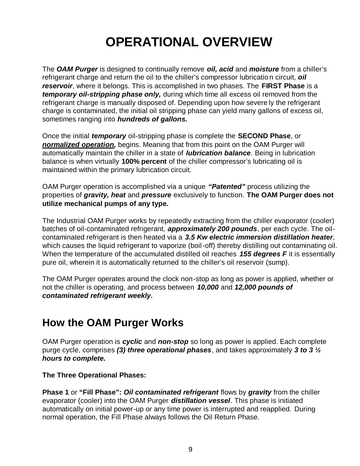# **OPERATIONAL OVERVIEW**

The *OAM Purger* is designed to continually remove *oil, acid* and *moisture* from a chiller's refrigerant charge and return the oil to the chiller's compressor lubricatio n circuit, *oil reservoir*, where it belongs. This is accomplished in two phases. The **FIRST Phase** is a *temporary oil-stripping phase only,* during which time all excess oil removed from the refrigerant charge is manually disposed of. Depending upon how severe ly the refrigerant charge is contaminated, the initial oil stripping phase can yield many gallons of excess oil, sometimes ranging into *hundreds of gallons.*

Once the initial *temporary* oil-stripping phase is complete the **SECOND Phase**, or *normalized operation,* begins. Meaning that from this point on the OAM Purger will automatically maintain the chiller in a state of *lubrication balance*. Being in lubrication balance is when virtually **100% percent** of the chiller compressor's lubricating oil is maintained within the primary lubrication circuit.

OAM Purger operation is accomplished via a unique *"Patented"* process utilizing the properties of *gravity, heat* and *pressure* exclusively to function. **The OAM Purger does not utilize mechanical pumps of any type.**

The Industrial OAM Purger works by repeatedly extracting from the chiller evaporator (cooler) batches of oil-contaminated refrigerant, *approximately 200 pounds*, per each cycle. The oilcontaminated refrigerant is then heated via a *3.5 Kw electric immersion distillation heater*, which causes the liquid refrigerant to vaporize (boil-off) thereby distilling out contaminating oil. When the temperature of the accumulated distilled oil reaches *155 degrees F* it is essentially pure oil, wherein it is automatically returned to the chiller's oil reservoir (sump).

The OAM Purger operates around the clock non-stop as long as power is applied, whether or not the chiller is operating, and process between *10,000* and *12,000 pounds of contaminated refrigerant weekly.*

## **How the OAM Purger Works**

OAM Purger operation is *cyclic* and *non-stop* so long as power is applied. Each complete purge cycle, comprises *(3) three operational phases*, and takes approximately *3 to 3 ½ hours to complete.* 

**The Three Operational Phases:**

**Phase 1** or **"Fill Phase":** *Oil contaminated refrigerant* flows by *gravity* from the chiller evaporator (cooler) into the OAM Purger *distillation vessel*. This phase is initiated automatically on initial power-up or any time power is interrupted and reapplied. During normal operation, the Fill Phase always follows the Oil Return Phase.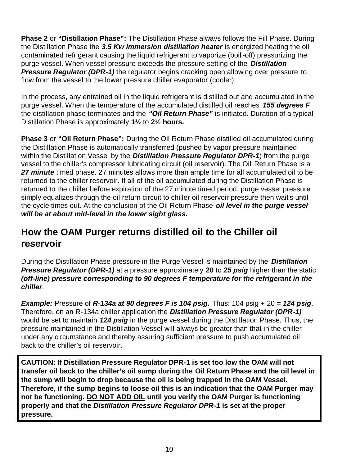**Phase 2** or **"Distillation Phase":** The Distillation Phase always follows the Fill Phase. During the Distillation Phase the *3.5 Kw immersion distillation heater* is energized heating the oil contaminated refrigerant causing the liquid refrigerant to vaporize (boil-off) pressurizing the purge vessel. When vessel pressure exceeds the pressure setting of the *Distillation Pressure Regulator (DPR-1)* the regulator begins cracking open allowing over pressure to flow from the vessel to the lower pressure chiller evaporator (cooler).

In the process, any entrained oil in the liquid refrigerant is distilled out and accumulated in the purge vessel. When the temperature of the accumulated distilled oil reaches *155 degrees F* the distillation phase terminates and the *"Oil Return Phase"* is initiated. Duration of a typical Distillation Phase is approximately **1½** to **2½ hours***.*

**Phase 3** or **"Oil Return Phase":** During the Oil Return Phase distilled oil accumulated during the Distillation Phase is automatically transferred (pushed by vapor pressure maintained within the Distillation Vessel by the *Distillation Pressure Regulator DPR-1*) from the purge vessel to the chiller's compressor lubricating circuit (oil reservoir). The Oil Return Phase is a 27 *minute* timed phase. 27 minutes allows more than ample time for all accumulated oil to be returned to the chiller reservoir. If all of the oil accumulated during the Distillation Phase is returned to the chiller before expiration of the 27 minute timed period, purge vessel pressure simply equalizes through the oil return circuit to chiller oil reservoir pressure then wait s until the cycle times out. At the conclusion of the Oil Return Phase *oil level in the purge vessel will be at about mid-level in the lower sight glass.*

#### **How the OAM Purger returns distilled oil to the Chiller oil reservoir**

During the Distillation Phase pressure in the Purge Vessel is maintained by the *Distillation Pressure Regulator (DPR-1)* at a pressure approximately **20** to *25 psig* higher than the static *(off-line) pressure corresponding to 90 degrees F temperature for the refrigerant in the chiller*.

*Example:* Pressure of *R-134a at 90 degrees F is 104 psig.* Thus: 104 psig + 20 = *124 psig*. Therefore, on an R-134a chiller application the *Distillation Pressure Regulator (DPR-1)* would be set to maintain *124 psig* in the purge vessel during the Distillation Phase. Thus, the pressure maintained in the Distillation Vessel will always be greater than that in the chiller under any circumstance and thereby assuring sufficient pressure to push accumulated oil back to the chiller's oil reservoir.

**CAUTION: If Distillation Pressure Regulator DPR-1 is set too low the OAM will not transfer oil back to the chiller's oil sump during the Oil Return Phase and the oil level in the sump will begin to drop because the oil is being trapped in the OAM Vessel. Therefore, if the sump begins to loose oil this is an indication that the OAM Purger may not be functioning. DO NOT ADD OIL until you verify the OAM Purger is functioning properly and that the** *Distillation Pressure Regulator DPR-1* **is set at the proper pressure.**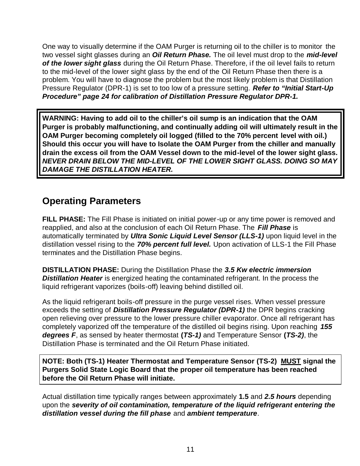One way to visually determine if the OAM Purger is returning oil to the chiller is to monitor the two vessel sight glasses during an *Oil Return Phase.* The oil level must drop to the *mid-level of the lower sight glass* during the Oil Return Phase. Therefore, if the oil level fails to return to the mid-level of the lower sight glass by the end of the Oil Return Phase then there is a problem. You will have to diagnose the problem but the most likely problem is that Distillation Pressure Regulator (DPR-1) is set to too low of a pressure setting. *Refer to "Initial Start-Up Procedure" page 24 for calibration of Distillation Pressure Regulator DPR-1.*

**WARNING: Having to add oil to the chiller's oil sump is an indication that the OAM Purger is probably malfunctioning, and continually adding oil will ultimately result in the OAM Purger becoming completely oil logged (filled to the 70% percent level with oil.) Should this occur you will have to Isolate the OAM Purger from the chiller and manually drain the excess oil from the OAM Vessel down to the mid-level of the lower sight glass.**  *NEVER DRAIN BELOW THE MID-LEVEL OF THE LOWER SIGHT GLASS. DOING SO MAY DAMAGE THE DISTILLATION HEATER.* 

### **Operating Parameters**

**FILL PHASE:** The Fill Phase is initiated on initial power-up or any time power is removed and reapplied, and also at the conclusion of each Oil Return Phase. The *Fill Phase* is automatically terminated by *Ultra Sonic Liquid Level Sensor (LLS-1)* upon liquid level in the distillation vessel rising to the *70% percent full level.* Upon activation of LLS-1 the Fill Phase terminates and the Distillation Phase begins.

**DISTILLATION PHASE:** During the Distillation Phase the *3.5 Kw electric immersion*  **Distillation Heater** is energized heating the contaminated refrigerant. In the process the liquid refrigerant vaporizes (boils-off) leaving behind distilled oil.

As the liquid refrigerant boils-off pressure in the purge vessel rises. When vessel pressure exceeds the setting of *Distillation Pressure Regulator (DPR-1)* the DPR begins cracking open relieving over pressure to the lower pressure chiller evaporator. Once all refrigerant has completely vaporized off the temperature of the distilled oil begins rising. Upon reaching *155 degrees F*, as sensed by heater thermostat **(***TS-1)* and Temperature Sensor **(***TS-2)*, the Distillation Phase is terminated and the Oil Return Phase initiated.

**NOTE: Both (TS-1) Heater Thermostat and Temperature Sensor (TS-2) MUST signal the Purgers Solid State Logic Board that the proper oil temperature has been reached before the Oil Return Phase will initiate.**

Actual distillation time typically ranges between approximately **1.5** and *2.5 hours* depending upon the *severity of oil contamination, temperature of the liquid refrigerant entering the distillation vessel during the fill phase* and *ambient temperature*.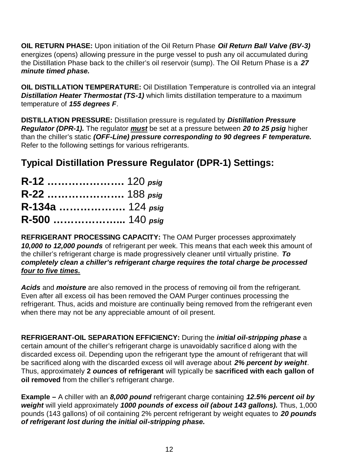**OIL RETURN PHASE:** Upon initiation of the Oil Return Phase *Oil Return Ball Valve (BV-3)*  energizes (opens) allowing pressure in the purge vessel to push any oil accumulated during the Distillation Phase back to the chiller's oil reservoir (sump). The Oil Return Phase is a *27 minute timed phase.*

**OIL DISTILLATION TEMPERATURE:** Oil Distillation Temperature is controlled via an integral *Distillation Heater Thermostat (TS-1)* which limits distillation temperature to a maximum temperature of *155 degrees F*.

**DISTILLATION PRESSURE:** Distillation pressure is regulated by *Distillation Pressure Regulator (DPR-1).* The regulator *must* be set at a pressure between *20 to 25 psig* higher than the chiller's static *(OFF-Line) pressure corresponding to 90 degrees F temperature.* Refer to the following settings for various refrigerants.

### **Typical Distillation Pressure Regulator (DPR-1) Settings:**

| R-12  120 psig       |  |
|----------------------|--|
| <b>R-22</b> 188 psig |  |
| R-134a  124 psig     |  |
| R-500  140 psig      |  |

**REFRIGERANT PROCESSING CAPACITY:** The OAM Purger processes approximately *10,000 to 12,000 pounds* of refrigerant per week. This means that each week this amount of the chiller's refrigerant charge is made progressively cleaner until virtually pristine. *To completely clean a chiller's refrigerant charge requires the total charge be processed four to five times.*

Acids and *moisture* are also removed in the process of removing oil from the refrigerant. Even after all excess oil has been removed the OAM Purger continues processing the refrigerant. Thus, acids and moisture are continually being removed from the refrigerant even when there may not be any appreciable amount of oil present.

**REFRIGERANT-OIL SEPARATION EFFICIENCY:** During the *initial oil-stripping phase* a certain amount of the chiller's refrigerant charge is unavoidably sacrifice d along with the discarded excess oil. Depending upon the refrigerant type the amount of refrigerant that will be sacrificed along with the discarded excess oil will average about *2% percent by weight*. Thus, approximately **2** *ounces* **of refrigerant** will typically be **sacrificed with each gallon of oil removed** from the chiller's refrigerant charge.

**Example –** A chiller with an *8,000 pound* refrigerant charge containing *12.5% percent oil by weight* will yield approximately *1000 pounds of excess oil (about 143 gallons).* Thus, 1,000 pounds (143 gallons) of oil containing 2% percent refrigerant by weight equates to *20 pounds of refrigerant lost during the initial oil-stripping phase.*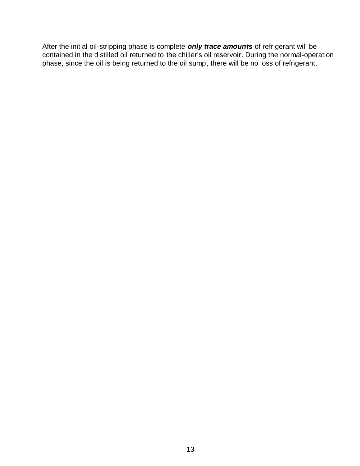After the initial oil-stripping phase is complete *only trace amounts* of refrigerant will be contained in the distilled oil returned to the chiller's oil reservoir. During the normal-operation phase, since the oil is being returned to the oil sump, there will be no loss of refrigerant.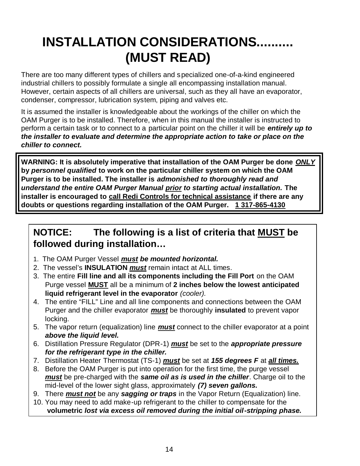## **INSTALLATION CONSIDERATIONS.......... (MUST READ)**

There are too many different types of chillers and specialized one-of-a-kind engineered industrial chillers to possibly formulate a single all encompassing installation manual. However, certain aspects of all chillers are universal, such as they all have an evaporator, condenser, compressor, lubrication system, piping and valves etc.

It is assumed the installer is knowledgeable about the workings of the chiller on which the OAM Purger is to be installed. Therefore, when in this manual the installer is instructed to perform a certain task or to connect to a particular point on the chiller it will be *entirely up to the installer to evaluate and determine the appropriate action to take or place on the chiller to connect.*

**WARNING: It is absolutely imperative that installation of the OAM Purger be done** *ONLY* **by** *personnel qualified* **to work on the particular chiller system on which the OAM Purger is to be installed. The installer is** *admonished to thoroughly read and understand the entire OAM Purger Manual prior to starting actual installation.* **The installer is encouraged to call Redi Controls for technical assistance if there are any doubts or questions regarding installation of the OAM Purger. 1 317-865-4130**

#### **NOTICE: The following is a list of criteria that MUST be followed during installation…**

- 1. The OAM Purger Vessel *must be mounted horizontal.*
- 2. The vessel's **INSULATION** *must* remain intact at ALL times.
- 3. The entire **Fill line and all its components including the Fill Port** on the OAM Purge vessel **MUST** all be a minimum of **2 inches below the lowest anticipated liquid refrigerant level in the evaporator** *(cooler).*
- 4. The entire "FILL" Line and all line components and connections between the OAM Purger and the chiller evaporator *must* be thoroughly **insulated** to prevent vapor locking.
- 5. The vapor return (equalization) line *must* connect to the chiller evaporator at a point *above the liquid level.*
- 6. Distillation Pressure Regulator (DPR-1) *must* be set to the *appropriate pressure for the refrigerant type in the chiller.*
- 7. Distillation Heater Thermostat (TS-1) *must* be set at *155 degrees F* at *all times.*
- 8. Before the OAM Purger is put into operation for the first time, the purge vessel *must* be pre-charged with the *same oil as is used in the chiller*. Charge oil to the mid-level of the lower sight glass, approximately *(7) seven gallons.*
- 9. There *must not* be any *sagging or traps* in the Vapor Return (Equalization) line.
- 10. You may need to add make-up refrigerant to the chiller to compensate for the **volumetric** *lost via excess oil removed during the initial oil-stripping phase.*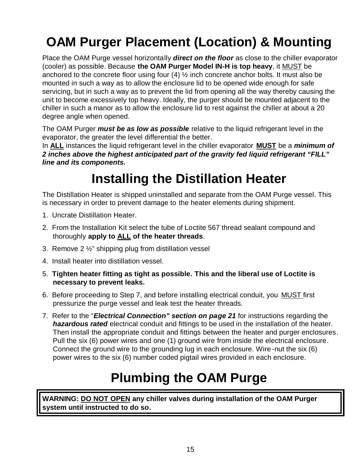# **OAM Purger Placement (Location) & Mounting**

Place the OAM Purge vessel horizontally *direct on the floor* as close to the chiller evaporator (cooler) as possible. Because **the OAM Purger Model IN-H is top heavy**, it MUST be anchored to the concrete floor using four  $(4)$  % inch concrete anchor bolts. It must also be mounted in such a way as to allow the enclosure lid to be opened wide enough for safe servicing, but in such a way as to prevent the lid from opening all the way thereby causing the unit to become excessively top heavy. Ideally, the purger should be mounted adjacent to the chiller in such a manor as to allow the enclosure lid to rest against the chiller at about a 20 degree angle when opened.

The OAM Purger *must be as low as possible* relative to the liquid refrigerant level in the evaporator, the greater the level differential the better.

In **ALL** instances the liquid refrigerant level in the chiller evaporator **MUST** be a *minimum of 2 inches above the highest anticipated part of the gravity fed liquid refrigerant "FILL" line and its components.*

## **Installing the Distillation Heater**

The Distillation Heater is shipped uninstalled and separate from the OAM Purge vessel. This is necessary in order to prevent damage to the heater elements during shipment.

- 1. Uncrate Distillation Heater.
- 2. From the Installation Kit select the tube of Loctite 567 thread sealant compound and thoroughly **apply to ALL of the heater threads**.
- 3. Remove 2 ½" shipping plug from distillation vessel
- 4. Install heater into distillation vessel.
- 5. **Tighten heater fitting as tight as possible. This and the liberal use of Loctite is necessary to prevent leaks.**
- 6. Before proceeding to Step 7, and before installing electrical conduit, you MUST first pressurize the purge vessel and leak test the heater threads.
- 7. Refer to the "*Electrical Connection" section on page 21* for instructions regarding the *hazardous rated* electrical conduit and fittings to be used in the installation of the heater. Then install the appropriate conduit and fittings between the heater and purger enclosures. Pull the six (6) power wires and one (1) ground wire from inside the electrical enclosure. Connect the ground wire to the grounding lug in each enclosure. Wire -nut the six (6) power wires to the six (6) number coded pigtail wires provided in each enclosure.

## **Plumbing the OAM Purge**

**WARNING: DO NOT OPEN any chiller valves during installation of the OAM Purger system until instructed to do so.**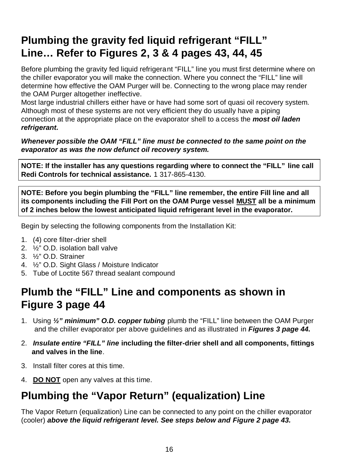## **Plumbing the gravity fed liquid refrigerant "FILL" Line… Refer to Figures 2, 3 & 4 pages 43, 44, 45**

Before plumbing the gravity fed liquid refrigerant "FILL" line you must first determine where on the chiller evaporator you will make the connection. Where you connect the "FILL" line will determine how effective the OAM Purger will be. Connecting to the wrong place may render the OAM Purger altogether ineffective.

Most large industrial chillers either have or have had some sort of quasi oil recovery system. Although most of these systems are not very efficient they do usually have a piping connection at the appropriate place on the evaporator shell to a ccess the *most oil laden refrigerant.*

#### *Whenever possible the OAM "FILL" line must be connected to the same point on the evaporator as was the now defunct oil recovery system.*

**NOTE: If the installer has any questions regarding where to connect the "FILL" line call Redi Controls for technical assistance.** 1 317-865-4130.

**NOTE: Before you begin plumbing the "FILL" line remember, the entire Fill line and all its components including the Fill Port on the OAM Purge vessel MUST all be a minimum of 2 inches below the lowest anticipated liquid refrigerant level in the evaporator.**

Begin by selecting the following components from the Installation Kit:

- 1. (4) core filter-drier shell
- 2. ½" O.D. isolation ball valve
- 3. ½" O.D. Strainer
- 4. ½" O.D. Sight Glass / Moisture Indicator
- 5. Tube of Loctite 567 thread sealant compound

## **Plumb the "FILL" Line and components as shown in Figure 3 page 44**

- 1. Using *½" minimum" O.D. copper tubing* plumb the "FILL" line between the OAM Purger and the chiller evaporator per above guidelines and as illustrated in *Figures 3 page 44.*
- 2. *Insulate entire "FILL" line* **including the filter-drier shell and all components, fittings and valves in the line**.
- 3. Install filter cores at this time.
- 4. **DO NOT** open any valves at this time.

## **Plumbing the "Vapor Return" (equalization) Line**

The Vapor Return (equalization) Line can be connected to any point on the chiller evaporator (cooler) *above the liquid refrigerant level. See steps below and Figure 2 page 43.*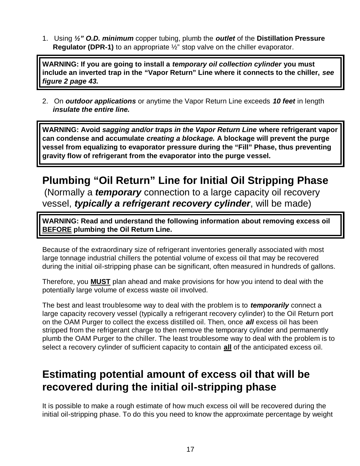1. Using *½" O.D. minimum* copper tubing, plumb the *outlet* of the **Distillation Pressure Regulator (DPR-1)** to an appropriate ½" stop valve on the chiller evaporator.

**WARNING: If you are going to install a** *temporary oil collection cylinder* **you must include an inverted trap in the "Vapor Return" Line where it connects to the chiller,** *see figure 2 page 43.*

2. On *outdoor applications* or anytime the Vapor Return Line exceeds *10 feet* in length *insulate the entire line.*

**WARNING: Avoid** *sagging and/or traps in the Vapor Return Line* **where refrigerant vapor can condense and accumulate** *creating a blockage.* **A blockage will prevent the purge vessel from equalizing to evaporator pressure during the "Fill" Phase, thus preventing gravity flow of refrigerant from the evaporator into the purge vessel.** 

## **Plumbing "Oil Return" Line for Initial Oil Stripping Phase**

(Normally a *temporary* connection to a large capacity oil recovery vessel, *typically a refrigerant recovery cylinder*, will be made)

**WARNING: Read and understand the following information about removing excess oil BEFORE plumbing the Oil Return Line.**

Because of the extraordinary size of refrigerant inventories generally associated with most large tonnage industrial chillers the potential volume of excess oil that may be recovered during the initial oil-stripping phase can be significant, often measured in hundreds of gallons.

Therefore, you **MUST** plan ahead and make provisions for how you intend to deal with the potentially large volume of excess waste oil involved.

The best and least troublesome way to deal with the problem is to *temporarily* connect a large capacity recovery vessel (typically a refrigerant recovery cylinder) to the Oil Return port on the OAM Purger to collect the excess distilled oil. Then, once *all* excess oil has been stripped from the refrigerant charge to then remove the temporary cylinder and permanently plumb the OAM Purger to the chiller. The least troublesome way to deal with the problem is to select a recovery cylinder of sufficient capacity to contain **all** of the anticipated excess oil.

## **Estimating potential amount of excess oil that will be recovered during the initial oil-stripping phase**

It is possible to make a rough estimate of how much excess oil will be recovered during the initial oil-stripping phase. To do this you need to know the approximate percentage by weight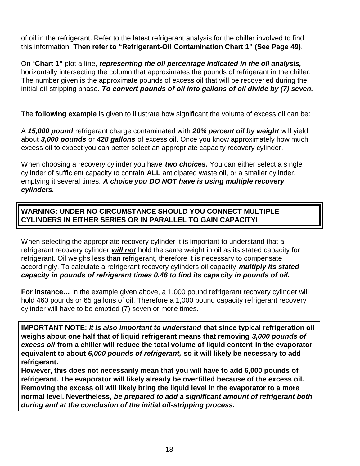of oil in the refrigerant. Refer to the latest refrigerant analysis for the chiller involved to find this information. **Then refer to "Refrigerant-Oil Contamination Chart 1" (See Page 49)**.

On "**Chart 1"** plot a line, *representing the oil percentage indicated in the oil analysis,* horizontally intersecting the column that approximates the pounds of refrigerant in the chiller. The number given is the approximate pounds of excess oil that will be recover ed during the initial oil-stripping phase. *To convert pounds of oil into gallons of oil divide by (7) seven.* 

The **following example** is given to illustrate how significant the volume of excess oil can be:

A *15,000 pound* refrigerant charge contaminated with *20% percent oil by weight* will yield about *3,000 pounds* or *428 gallons* of excess oil. Once you know approximately how much excess oil to expect you can better select an appropriate capacity recovery cylinder.

When choosing a recovery cylinder you have *two choices.* You can either select a single cylinder of sufficient capacity to contain **ALL** anticipated waste oil, or a smaller cylinder, emptying it several times. *A choice you DO NOT have is using multiple recovery cylinders.*

#### **WARNING: UNDER NO CIRCUMSTANCE SHOULD YOU CONNECT MULTIPLE CYLINDERS IN EITHER SERIES OR IN PARALLEL TO GAIN CAPACITY!**

When selecting the appropriate recovery cylinder it is important to understand that a refrigerant recovery cylinder *will not* hold the same weight in oil as its stated capacity for refrigerant. Oil weighs less than refrigerant, therefore it is necessary to compensate accordingly. To calculate a refrigerant recovery cylinders oil capacity *multiply its stated capacity in pounds of refrigerant times 0.46 to find its capacity in pounds of oil.*

**For instance…** in the example given above, a 1,000 pound refrigerant recovery cylinder will hold 460 pounds or 65 gallons of oil. Therefore a 1,000 pound capacity refrigerant recovery cylinder will have to be emptied (7) seven or more times.

**IMPORTANT NOTE:** *It is also important to understand* **that since typical refrigeration oil weighs about one half that of liquid refrigerant means that removing** *3,000 pounds of excess oil* **from a chiller will reduce the total volume of liquid content in the evaporator equivalent to about** *6,000 pounds of refrigerant,* **so it will likely be necessary to add refrigerant.** 

**However, this does not necessarily mean that you will have to add 6,000 pounds of refrigerant. The evaporator will likely already be overfilled because of the excess oil. Removing the excess oil will likely bring the liquid level in the evaporator to a more normal level. Nevertheless,** *be prepared to add a significant amount of refrigerant both during and at the conclusion of the initial oil-stripping process.*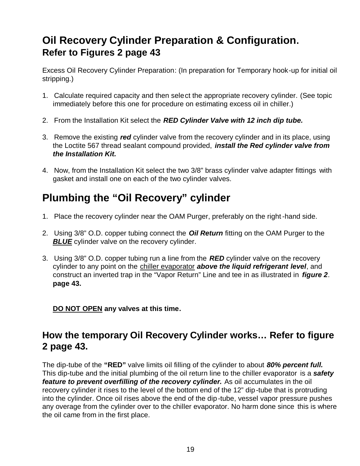## **Oil Recovery Cylinder Preparation & Configuration. Refer to Figures 2 page 43**

Excess Oil Recovery Cylinder Preparation: (In preparation for Temporary hook-up for initial oil stripping.)

- 1. Calculate required capacity and then select the appropriate recovery cylinder. (See topic immediately before this one for procedure on estimating excess oil in chiller.)
- 2. From the Installation Kit select the *RED Cylinder Valve with 12 inch dip tube.*
- 3. Remove the existing *red* cylinder valve from the recovery cylinder and in its place, using the Loctite 567 thread sealant compound provided, *install the Red cylinder valve from the Installation Kit.*
- 4. Now, from the Installation Kit select the two 3/8" brass cylinder valve adapter fittings with gasket and install one on each of the two cylinder valves.

## **Plumbing the "Oil Recovery" cylinder**

- 1. Place the recovery cylinder near the OAM Purger, preferably on the right-hand side.
- 2. Using 3/8" O.D. copper tubing connect the *Oil Return* fitting on the OAM Purger to the **BLUE** cylinder valve on the recovery cylinder.
- 3. Using 3/8" O.D. copper tubing run a line from the *RED* cylinder valve on the recovery cylinder to any point on the chiller evaporator *above the liquid refrigerant level*, and construct an inverted trap in the "Vapor Return" Line and tee in as illustrated in *figure 2*. **page 43.**

#### **DO NOT OPEN any valves at this time.**

#### **How the temporary Oil Recovery Cylinder works… Refer to figure 2 page 43.**

The dip-tube of the **"RED"** valve limits oil filling of the cylinder to about *80% percent full.* This dip-tube and the initial plumbing of the oil return line to the chiller evaporator is a *safety feature to prevent overfilling of the recovery cylinder.* As oil accumulates in the oil recovery cylinder it rises to the level of the bottom end of the 12" dip-tube that is protruding into the cylinder. Once oil rises above the end of the dip-tube, vessel vapor pressure pushes any overage from the cylinder over to the chiller evaporator. No harm done since this is where the oil came from in the first place.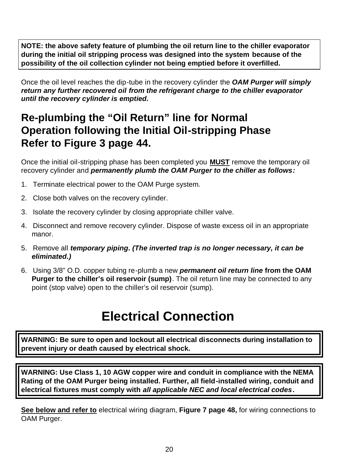**NOTE: the above safety feature of plumbing the oil return line to the chiller evaporator during the initial oil stripping process was designed into the system because of the possibility of the oil collection cylinder not being emptied before it overfilled.**

Once the oil level reaches the dip-tube in the recovery cylinder the *OAM Purger will simply return any further recovered oil from the refrigerant charge to the chiller evaporator until the recovery cylinder is emptied.*

## **Re-plumbing the "Oil Return" line for Normal Operation following the Initial Oil-stripping Phase Refer to Figure 3 page 44.**

Once the initial oil-stripping phase has been completed you **MUST** remove the temporary oil recovery cylinder and *permanently plumb the OAM Purger to the chiller as follows:*

- 1. Terminate electrical power to the OAM Purge system.
- 2. Close both valves on the recovery cylinder.
- 3. Isolate the recovery cylinder by closing appropriate chiller valve.
- 4. Disconnect and remove recovery cylinder. Dispose of waste excess oil in an appropriate manor.
- 5. Remove all *temporary piping. (The inverted trap is no longer necessary, it can be eliminated.)*
- 6. Using 3/8" O.D. copper tubing re-plumb a new *permanent oil return line* **from the OAM Purger to the chiller's oil reservoir (sump)**. The oil return line may be connected to any point (stop valve) open to the chiller's oil reservoir (sump).

## **Electrical Connection**

**WARNING: Be sure to open and lockout all electrical disconnects during installation to prevent injury or death caused by electrical shock.**

**WARNING: Use Class 1, 10 AGW copper wire and conduit in compliance with the NEMA Rating of the OAM Purger being installed. Further, all field-installed wiring, conduit and electrical fixtures must comply with** *all applicable NEC and local electrical codes***.**

**See below and refer to** electrical wiring diagram, **Figure 7 page 48,** for wiring connections to OAM Purger.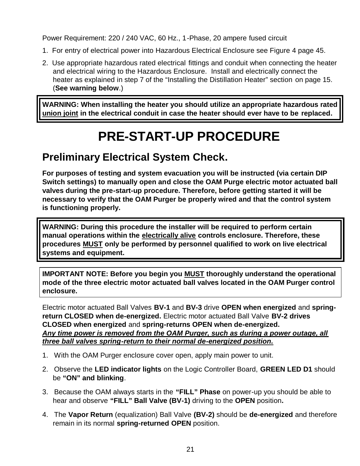Power Requirement: 220 / 240 VAC, 60 Hz., 1-Phase, 20 ampere fused circuit

- 1. For entry of electrical power into Hazardous Electrical Enclosure see Figure 4 page 45.
- 2. Use appropriate hazardous rated electrical fittings and conduit when connecting the heater and electrical wiring to the Hazardous Enclosure. Install and electrically connect the heater as explained in step 7 of the "Installing the Distillation Heater" section on page 15. (**See warning below**.)

**WARNING: When installing the heater you should utilize an appropriate hazardous rated union joint in the electrical conduit in case the heater should ever have to be replaced.**

## **PRE-START-UP PROCEDURE**

## **Preliminary Electrical System Check.**

**For purposes of testing and system evacuation you will be instructed (via certain DIP Switch settings) to manually open and close the OAM Purge electric motor actuated ball valves during the pre-start-up procedure. Therefore, before getting started it will be necessary to verify that the OAM Purger be properly wired and that the control system is functioning properly.** 

**WARNING: During this procedure the installer will be required to perform certain manual operations within the electrically alive controls enclosure. Therefore, these procedures MUST only be performed by personnel qualified to work on live electrical systems and equipment.**

**IMPORTANT NOTE: Before you begin you MUST thoroughly understand the operational mode of the three electric motor actuated ball valves located in the OAM Purger control enclosure.**

Electric motor actuated Ball Valves **BV-1** and **BV-3** drive **OPEN when energized** and **springreturn CLOSED when de-energized.** Electric motor actuated Ball Valve **BV-2 drives CLOSED when energized** and **spring-returns OPEN when de-energized.** *Any time power is removed from the OAM Purger, such as during a power outage, all three ball valves spring-return to their normal de-energized position.*

- 1. With the OAM Purger enclosure cover open, apply main power to unit.
- 2. Observe the **LED indicator lights** on the Logic Controller Board, **GREEN LED D1** should be **"ON" and blinking**.
- 3. Because the OAM always starts in the **"FILL" Phase** on power-up you should be able to hear and observe **"FILL" Ball Valve (BV-1)** driving to the **OPEN** position**.**
- 4. The **Vapor Return** (equalization) Ball Valve **(BV-2)** should be **de-energized** and therefore remain in its normal **spring-returned OPEN** position.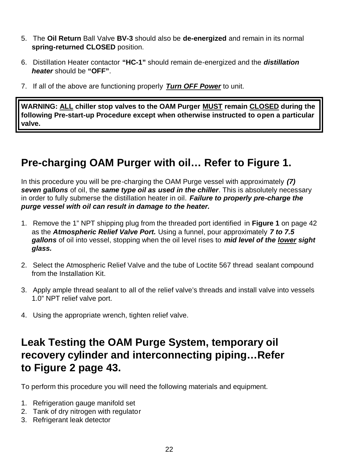- 5. The **Oil Return** Ball Valve **BV-3** should also be **de-energized** and remain in its normal **spring-returned CLOSED** position.
- 6. Distillation Heater contactor **"HC-1"** should remain de-energized and the *distillation heater* should be **"OFF"**.
- 7. If all of the above are functioning properly *Turn OFF Power* to unit.

**WARNING: ALL chiller stop valves to the OAM Purger MUST remain CLOSED during the following Pre-start-up Procedure except when otherwise instructed to open a particular valve.**

## **Pre-charging OAM Purger with oil… Refer to Figure 1.**

In this procedure you will be pre-charging the OAM Purge vessel with approximately *(7) seven gallons* of oil, the *same type oil as used in the chiller*. This is absolutely necessary in order to fully submerse the distillation heater in oil. *Failure to properly pre-charge the purge vessel with oil can result in damage to the heater.*

- 1. Remove the 1" NPT shipping plug from the threaded port identified in **Figure 1** on page 42 as the *Atmospheric Relief Valve Port.* Using a funnel, pour approximately *7 to 7.5 gallons* of oil into vessel, stopping when the oil level rises to *mid level of the lower sight glass.*
- 2. Select the Atmospheric Relief Valve and the tube of Loctite 567 thread sealant compound from the Installation Kit.
- 3. Apply ample thread sealant to all of the relief valve's threads and install valve into vessels 1.0" NPT relief valve port.
- 4. Using the appropriate wrench, tighten relief valve.

## **Leak Testing the OAM Purge System, temporary oil recovery cylinder and interconnecting piping…Refer to Figure 2 page 43.**

To perform this procedure you will need the following materials and equipment.

- 1. Refrigeration gauge manifold set
- 2. Tank of dry nitrogen with regulator
- 3. Refrigerant leak detector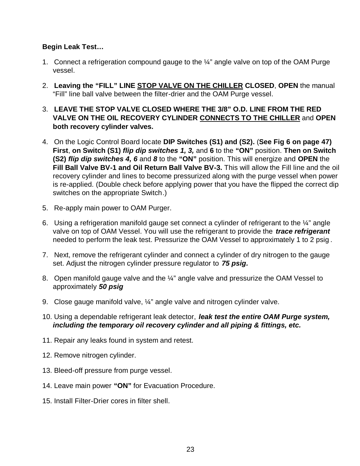#### **Begin Leak Test…**

- 1. Connect a refrigeration compound gauge to the 1/4" angle valve on top of the OAM Purge vessel.
- 2. **Leaving the "FILL" LINE STOP VALVE ON THE CHILLER CLOSED**, **OPEN** the manual "Fill" line ball valve between the filter-drier and the OAM Purge vessel.
- 3. **LEAVE THE STOP VALVE CLOSED WHERE THE 3/8" O.D. LINE FROM THE RED VALVE ON THE OIL RECOVERY CYLINDER CONNECTS TO THE CHILLER** and **OPEN both recovery cylinder valves.**
- 4. On the Logic Control Board locate **DIP Switches (S1) and (S2).** (**See Fig 6 on page 47) First**, **on Switch (S1)** *flip dip switches 1, 3,* and **6** to the **"ON"** position. **Then on Switch (S2)** *flip dip switches 4, 6* and *8* to the **"ON"** position. This will energize and **OPEN** the **Fill Ball Valve BV-1 and Oil Return Ball Valve BV-3.** This will allow the Fill line and the oil recovery cylinder and lines to become pressurized along with the purge vessel when power is re-applied. (Double check before applying power that you have the flipped the correct dip switches on the appropriate Switch.)
- 5. Re-apply main power to OAM Purger.
- 6. Using a refrigeration manifold gauge set connect a cylinder of refrigerant to the ¼" angle valve on top of OAM Vessel. You will use the refrigerant to provide the *trace refrigerant* needed to perform the leak test. Pressurize the OAM Vessel to approximately 1 to 2 psig .
- 7. Next, remove the refrigerant cylinder and connect a cylinder of dry nitrogen to the gauge set. Adjust the nitrogen cylinder pressure regulator to *75 psig.*
- 8. Open manifold gauge valve and the ¼" angle valve and pressurize the OAM Vessel to approximately *50 psig*
- 9. Close gauge manifold valve, ¼" angle valve and nitrogen cylinder valve.
- 10. Using a dependable refrigerant leak detector, *leak test the entire OAM Purge system, including the temporary oil recovery cylinder and all piping & fittings, etc.*
- 11. Repair any leaks found in system and retest.
- 12. Remove nitrogen cylinder.
- 13. Bleed-off pressure from purge vessel.
- 14. Leave main power **"ON"** for Evacuation Procedure.
- 15. Install Filter-Drier cores in filter shell.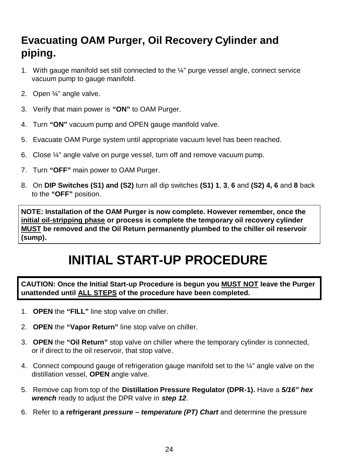## **Evacuating OAM Purger, Oil Recovery Cylinder and piping.**

- 1. With gauge manifold set still connected to the ¼" purge vessel angle, connect service vacuum pump to gauge manifold.
- 2. Open ¼" angle valve.
- 3. Verify that main power is **"ON"** to OAM Purger.
- 4. Turn **"ON"** vacuum pump and OPEN gauge manifold valve.
- 5. Evacuate OAM Purge system until appropriate vacuum level has been reached.
- 6. Close ¼" angle valve on purge vessel, turn off and remove vacuum pump.
- 7. Turn **"OFF"** main power to OAM Purger.
- 8. On **DIP Switches (S1) and (S2)** turn all dip switches **(S1) 1**, **3**, **6** and **(S2) 4, 6** and **8** back to the **"OFF"** position.

**NOTE: Installation of the OAM Purger is now complete. However remember, once the initial oil-stripping phase or process is complete the temporary oil recovery cylinder MUST be removed and the Oil Return permanently plumbed to the chiller oil reservoir (sump).**

## **INITIAL START-UP PROCEDURE**

**CAUTION: Once the Initial Start-up Procedure is begun you MUST NOT leave the Purger unattended until ALL STEPS of the procedure have been completed.**

- 1. **OPEN** the **"FILL"** line stop valve on chiller.
- 2. **OPEN** the **"Vapor Return"** line stop valve on chiller.
- 3. **OPEN** the **"Oil Return"** stop valve on chiller where the temporary cylinder is connected, or if direct to the oil reservoir, that stop valve.
- 4. Connect compound gauge of refrigeration gauge manifold set to the ¼" angle valve on the distillation vessel, **OPEN** angle valve.
- 5. Remove cap from top of the **Distillation Pressure Regulator (DPR-1).** Have a *5/16" hex wrench* ready to adjust the DPR valve in *step 12*.
- 6. Refer to **a refrigerant** *pressure – temperature (PT) Chart* and determine the pressure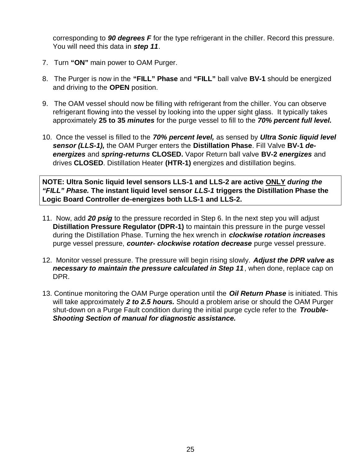corresponding to *90 degrees F* for the type refrigerant in the chiller. Record this pressure. You will need this data in *step 11*.

- 7. Turn **"ON"** main power to OAM Purger.
- 8. The Purger is now in the **"FILL" Phase** and **"FILL"** ball valve **BV-1** should be energized and driving to the **OPEN** position.
- 9. The OAM vessel should now be filling with refrigerant from the chiller. You can observe refrigerant flowing into the vessel by looking into the upper sight glass. It typically takes approximately **25 to 35** *minutes* for the purge vessel to fill to the *70% percent full level.*
- 10. Once the vessel is filled to the *70% percent level,* as sensed by *Ultra Sonic liquid level sensor (LLS-1),* the OAM Purger enters the **Distillation Phase**. Fill Valve **BV-1** *deenergizes* and *spring-returns* **CLOSED.** Vapor Return ball valve **BV-2** *energizes* and drives **CLOSED**. Distillation Heater **(HTR-1)** energizes and distillation begins.

**NOTE: Ultra Sonic liquid level sensors LLS-1 and LLS-2 are active ONLY** *during the "FILL" Phase.* **The instant liquid level sensor** *LLS-1* **triggers the Distillation Phase the Logic Board Controller de-energizes both LLS-1 and LLS-2.**

- 11. Now, add *20 psig* to the pressure recorded in Step 6. In the next step you will adjust **Distillation Pressure Regulator (DPR-1)** to maintain this pressure in the purge vessel during the Distillation Phase. Turning the hex wrench in *clockwise rotation increases* purge vessel pressure, *counter- clockwise rotation decrease* purge vessel pressure.
- 12. Monitor vessel pressure. The pressure will begin rising slowly. *Adjust the DPR valve as necessary to maintain the pressure calculated in Step 11*, when done, replace cap on DPR.
- 13. Continue monitoring the OAM Purge operation until the *Oil Return Phase* is initiated. This will take approximately *2 to 2.5 hours.* Should a problem arise or should the OAM Purger shut-down on a Purge Fault condition during the initial purge cycle refer to the *Trouble-Shooting Section of manual for diagnostic assistance.*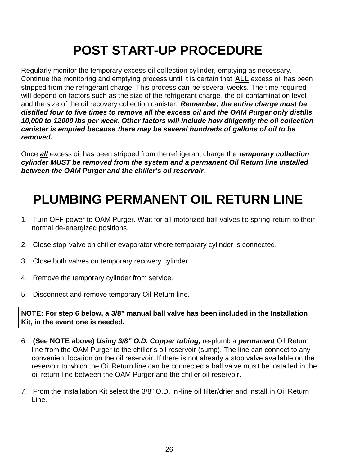# **POST START-UP PROCEDURE**

Regularly monitor the temporary excess oil collection cylinder, emptying as necessary. Continue the monitoring and emptying process until it is certain that **ALL** excess oil has been stripped from the refrigerant charge. This process can be several weeks. The time required will depend on factors such as the size of the refrigerant charge, the oil contamination level and the size of the oil recovery collection canister. *Remember, the entire charge must be distilled four to five times to remove all the excess oil and the OAM Purger only distills 10,000 to 12000 lbs per week. Other factors will include how diligently the oil collection canister is emptied because there may be several hundreds of gallons of oil to be removed.*

Once *all* excess oil has been stripped from the refrigerant charge the *temporary collection cylinder MUST be removed from the system and a permanent Oil Return line installed between the OAM Purger and the chiller's oil reservoir.*

## **PLUMBING PERMANENT OIL RETURN LINE**

- 1. Turn OFF power to OAM Purger. Wait for all motorized ball valves to spring-return to their normal de-energized positions.
- 2. Close stop-valve on chiller evaporator where temporary cylinder is connected.
- 3. Close both valves on temporary recovery cylinder.
- 4. Remove the temporary cylinder from service.
- 5. Disconnect and remove temporary Oil Return line.

**NOTE: For step 6 below, a 3/8" manual ball valve has been included in the Installation Kit, in the event one is needed.**

- 6. **(See NOTE above)** *Using 3/8" O.D. Copper tubing,* re-plumb a *permanent* Oil Return line from the OAM Purger to the chiller's oil reservoir (sump). The line can connect to any convenient location on the oil reservoir. If there is not already a stop valve available on the reservoir to which the Oil Return line can be connected a ball valve mus t be installed in the oil return line between the OAM Purger and the chiller oil reservoir.
- 7. From the Installation Kit select the 3/8" O.D. in-line oil filter/drier and install in Oil Return Line.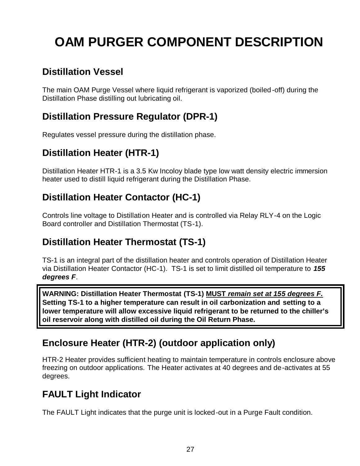# **OAM PURGER COMPONENT DESCRIPTION**

#### **Distillation Vessel**

The main OAM Purge Vessel where liquid refrigerant is vaporized (boiled -off) during the Distillation Phase distilling out lubricating oil.

#### **Distillation Pressure Regulator (DPR-1)**

Regulates vessel pressure during the distillation phase.

#### **Distillation Heater (HTR-1)**

Distillation Heater HTR-1 is a 3.5 Kw Incoloy blade type low watt density electric immersion heater used to distill liquid refrigerant during the Distillation Phase.

### **Distillation Heater Contactor (HC-1)**

Controls line voltage to Distillation Heater and is controlled via Relay RLY-4 on the Logic Board controller and Distillation Thermostat (TS-1).

#### **Distillation Heater Thermostat (TS-1)**

TS-1 is an integral part of the distillation heater and controls operation of Distillation Heater via Distillation Heater Contactor (HC-1). TS-1 is set to limit distilled oil temperature to *155 degrees F*.

**WARNING: Distillation Heater Thermostat (TS-1) MUST** *remain set at 155 degrees F.* **Setting TS-1 to a higher temperature can result in oil carbonization and setting to a lower temperature will allow excessive liquid refrigerant to be returned to the chiller's oil reservoir along with distilled oil during the Oil Return Phase.**

## **Enclosure Heater (HTR-2) (outdoor application only)**

HTR-2 Heater provides sufficient heating to maintain temperature in controls enclosure above freezing on outdoor applications. The Heater activates at 40 degrees and de-activates at 55 degrees.

### **FAULT Light Indicator**

The FAULT Light indicates that the purge unit is locked-out in a Purge Fault condition.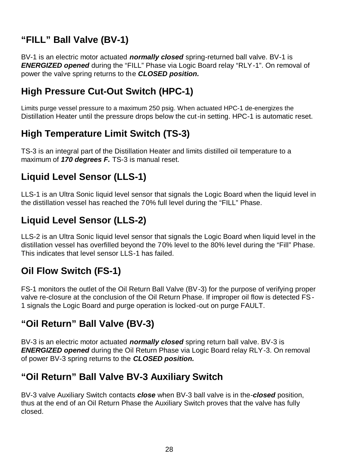## **"FILL" Ball Valve (BV-1)**

BV-1 is an electric motor actuated *normally closed* spring-returned ball valve. BV-1 is *ENERGIZED opened* during the "FILL" Phase via Logic Board relay "RLY-1". On removal of power the valve spring returns to the *CLOSED position.*

#### **High Pressure Cut-Out Switch (HPC-1)**

Limits purge vessel pressure to a maximum 250 psig. When actuated HPC-1 de-energizes the Distillation Heater until the pressure drops below the cut-in setting. HPC-1 is automatic reset.

## **High Temperature Limit Switch (TS-3)**

TS-3 is an integral part of the Distillation Heater and limits distilled oil temperature to a maximum of *170 degrees F.* TS-3 is manual reset.

## **Liquid Level Sensor (LLS-1)**

LLS-1 is an Ultra Sonic liquid level sensor that signals the Logic Board when the liquid level in the distillation vessel has reached the 70% full level during the "FILL" Phase.

## **Liquid Level Sensor (LLS-2)**

LLS-2 is an Ultra Sonic liquid level sensor that signals the Logic Board when liquid level in the distillation vessel has overfilled beyond the 70% level to the 80% level during the "Fill" Phase. This indicates that level sensor LLS-1 has failed.

## **Oil Flow Switch (FS-1)**

FS-1 monitors the outlet of the Oil Return Ball Valve (BV-3) for the purpose of verifying proper valve re-closure at the conclusion of the Oil Return Phase. If improper oil flow is detected FS - 1 signals the Logic Board and purge operation is locked-out on purge FAULT.

### **"Oil Return" Ball Valve (BV-3)**

BV-3 is an electric motor actuated *normally closed* spring return ball valve. BV-3 is *ENERGIZED opened* during the Oil Return Phase via Logic Board relay RLY-3. On removal of power BV-3 spring returns to the *CLOSED position.*

### **"Oil Return" Ball Valve BV-3 Auxiliary Switch**

BV-3 valve Auxiliary Switch contacts *close* when BV-3 ball valve is in the-*closed* position, thus at the end of an Oil Return Phase the Auxiliary Switch proves that the valve has fully closed.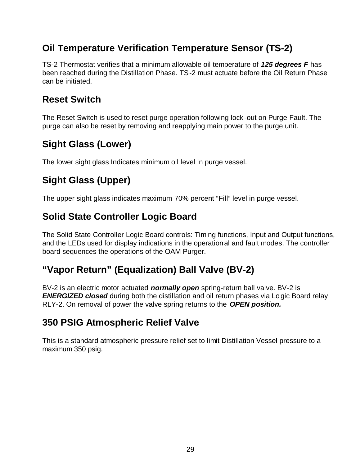### **Oil Temperature Verification Temperature Sensor (TS-2)**

TS-2 Thermostat verifies that a minimum allowable oil temperature of *125 degrees F* has been reached during the Distillation Phase. TS-2 must actuate before the Oil Return Phase can be initiated.

#### **Reset Switch**

The Reset Switch is used to reset purge operation following lock -out on Purge Fault. The purge can also be reset by removing and reapplying main power to the purge unit.

### **Sight Glass (Lower)**

The lower sight glass Indicates minimum oil level in purge vessel.

### **Sight Glass (Upper)**

The upper sight glass indicates maximum 70% percent "Fill" level in purge vessel.

### **Solid State Controller Logic Board**

The Solid State Controller Logic Board controls: Timing functions, Input and Output functions, and the LEDs used for display indications in the operational and fault modes. The controller board sequences the operations of the OAM Purger.

## **"Vapor Return" (Equalization) Ball Valve (BV-2)**

BV-2 is an electric motor actuated *normally open* spring-return ball valve. BV-2 is **ENERGIZED closed** during both the distillation and oil return phases via Logic Board relay RLY-2. On removal of power the valve spring returns to the *OPEN position.*

### **350 PSIG Atmospheric Relief Valve**

This is a standard atmospheric pressure relief set to limit Distillation Vessel pressure to a maximum 350 psig.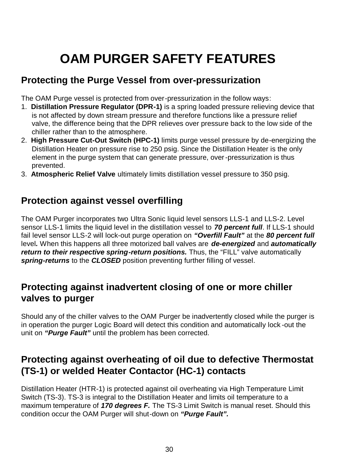# **OAM PURGER SAFETY FEATURES**

#### **Protecting the Purge Vessel from over-pressurization**

The OAM Purge vessel is protected from over-pressurization in the follow ways:

- 1. **Distillation Pressure Regulator (DPR-1)** is a spring loaded pressure relieving device that is not affected by down stream pressure and therefore functions like a pressure relief valve, the difference being that the DPR relieves over pressure back to the low side of the chiller rather than to the atmosphere.
- 2. **High Pressure Cut-Out Switch (HPC-1)** limits purge vessel pressure by de-energizing the Distillation Heater on pressure rise to 250 psig. Since the Distillation Heater is the only element in the purge system that can generate pressure, over-pressurization is thus prevented.
- 3. **Atmospheric Relief Valve** ultimately limits distillation vessel pressure to 350 psig.

#### **Protection against vessel overfilling**

The OAM Purger incorporates two Ultra Sonic liquid level sensors LLS-1 and LLS-2. Level sensor LLS-1 limits the liquid level in the distillation vessel to *70 percent full*. If LLS-1 should fail level sensor LLS-2 will lock-out purge operation on *"Overfill Fault"* at the *80 percent full* level*.* When this happens all three motorized ball valves are *de-energized* and *automatically return to their respective spring-return positions.* Thus, the "FILL" valve automatically *spring-returns* to the *CLOSED* position preventing further filling of vessel.

#### **Protecting against inadvertent closing of one or more chiller valves to purger**

Should any of the chiller valves to the OAM Purger be inadvertently closed while the purger is in operation the purger Logic Board will detect this condition and automatically lock -out the unit on *"Purge Fault"* until the problem has been corrected.

#### **Protecting against overheating of oil due to defective Thermostat (TS-1) or welded Heater Contactor (HC-1) contacts**

Distillation Heater (HTR-1) is protected against oil overheating via High Temperature Limit Switch (TS-3). TS-3 is integral to the Distillation Heater and limits oil temperature to a maximum temperature of 170 degrees F. The TS-3 Limit Switch is manual reset. Should this condition occur the OAM Purger will shut-down on *"Purge Fault".*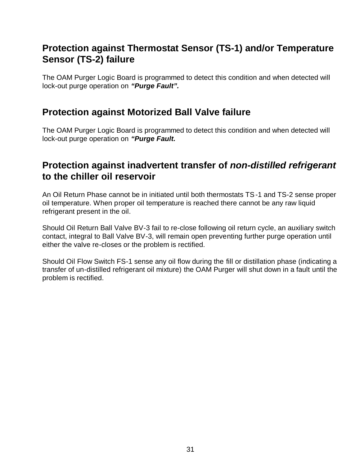#### **Protection against Thermostat Sensor (TS-1) and/or Temperature Sensor (TS-2) failure**

The OAM Purger Logic Board is programmed to detect this condition and when detected will lock-out purge operation on *"Purge Fault".*

#### **Protection against Motorized Ball Valve failure**

The OAM Purger Logic Board is programmed to detect this condition and when detected will lock-out purge operation on *"Purge Fault.*

#### **Protection against inadvertent transfer of** *non-distilled refrigerant*  **to the chiller oil reservoir**

An Oil Return Phase cannot be in initiated until both thermostats TS-1 and TS-2 sense proper oil temperature. When proper oil temperature is reached there cannot be any raw liquid refrigerant present in the oil.

Should Oil Return Ball Valve BV-3 fail to re-close following oil return cycle, an auxiliary switch contact, integral to Ball Valve BV-3, will remain open preventing further purge operation until either the valve re-closes or the problem is rectified.

Should Oil Flow Switch FS-1 sense any oil flow during the fill or distillation phase (indicating a transfer of un-distilled refrigerant oil mixture) the OAM Purger will shut down in a fault until the problem is rectified.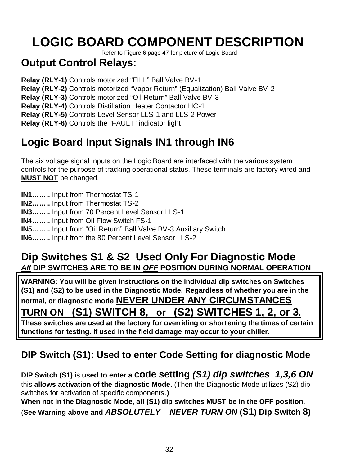# **LOGIC BOARD COMPONENT DESCRIPTION**

Refer to Figure 6 page 47 for picture of Logic Board

## **Output Control Relays:**

**Relay (RLY-1)** Controls motorized "FILL" Ball Valve BV-1

**Relay (RLY-2)** Controls motorized "Vapor Return" (Equalization) Ball Valve BV-2

**Relay (RLY-3)** Controls motorized "Oil Return" Ball Valve BV-3

**Relay (RLY-4)** Controls Distillation Heater Contactor HC-1

**Relay (RLY-5)** Controls Level Sensor LLS-1 and LLS-2 Power

**Relay (RLY-6)** Controls the "FAULT" indicator light

## **Logic Board Input Signals IN1 through IN6**

The six voltage signal inputs on the Logic Board are interfaced with the various system controls for the purpose of tracking operational status. These terminals are factory wired and **MUST NOT** be changed.

**IN1……..** Input from Thermostat TS-1

**IN2……..** Input from Thermostat TS-2

**IN3……..** Input from 70 Percent Level Sensor LLS-1

**IN4……..** Input from Oil Flow Switch FS-1

**IN5……..** Input from "Oil Return" Ball Valve BV-3 Auxiliary Switch

**IN6……..** Input from the 80 Percent Level Sensor LLS-2

#### **Dip Switches S1 & S2 Used Only For Diagnostic Mode** *All* **DIP SWITCHES ARE TO BE IN** *OFF* **POSITION DURING NORMAL OPERATION**

**WARNING: You will be given instructions on the individual dip switches on Switches (S1) and (S2) to be used in the Diagnostic Mode. Regardless of whether you are in the** 

## **normal, or diagnostic mode NEVER UNDER ANY CIRCUMSTANCES**

**TURN ON (S1) SWITCH 8, or (S2) SWITCHES 1, 2, or 3.**

**These switches are used at the factory for overriding or shortening the times of certain functions for testing. If used in the field damage may occur to your chiller.**

### **DIP Switch (S1): Used to enter Code Setting for diagnostic Mode**

**DIP Switch (S1)** is **used to enter a code setting** *(S1) dip switches 1,3,6 ON* this **allows activation of the diagnostic Mode.** (Then the Diagnostic Mode utilizes (S2) dip switches for activation of specific components.**)**

**When not in the Diagnostic Mode, all (S1) dip switches MUST be in the OFF position**. (**See Warning above and** *ABSOLUTELY NEVER TURN ON* **(S1) Dip Switch 8)**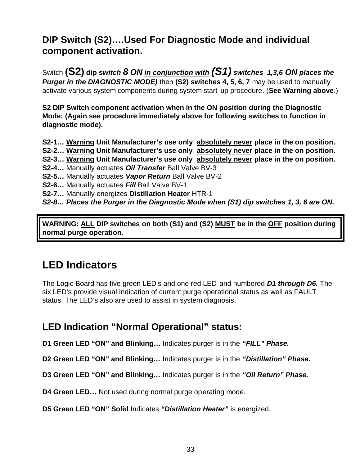#### **DIP Switch (S2)….Used For Diagnostic Mode and individual component activation.**

Switch **(S2) dip <sup>s</sup>***witch 8 ON in conjunction with (S1) switches 1,3,6 ON places the Purger in the DIAGNOSTIC MODE)* then **(S2) switches 4, 5, 6, 7** may be used to manually activate various system components during system start-up procedure. (**See Warning above**.)

**S2 DIP Switch component activation when in the ON position during the Diagnostic Mode: (Again see procedure immediately above for following switches to function in diagnostic mode).**

- **S2-1… Warning Unit Manufacturer's use only absolutely never place in the on position.**
- **S2-2… Warning Unit Manufacturer's use only absolutely never place in the on position.**
- **S2-3… Warning Unit Manufacturer's use only absolutely never place in the on position.**
- **S2-4…** Manually actuates *Oil Transfer* Ball Valve BV-3
- **S2-5…** Manually actuates *Vapor Return* Ball Valve BV-2
- **S2-6…** Manually actuates *Fill* Ball Valve BV-1
- **S2-7…** Manually energizes **Distillation Heater** HTR-1
- *S2-8… Places the Purger in the Diagnostic Mode when (S1) dip switches 1, 3, 6 are ON.*

**WARNING: ALL DIP switches on both (S1) and (S2) MUST be in the OFF position during normal purge operation.** 

### **LED Indicators**

The Logic Board has five green LED's and one red LED and numbered *D1 through D6.* The six LED's provide visual indication of current purge operational status as well as FAULT status. The LED's also are used to assist in system diagnosis.

#### **LED Indication "Normal Operational" status:**

**D1 Green LED "ON" and Blinking…** Indicates purger is in the *"FILL" Phase.*

**D2 Green LED "ON" and Blinking…** Indicates purger is in the *"Distillation" Phase.*

**D3 Green LED "ON" and Blinking…** Indicates purger is in the *"Oil Return" Phase.*

**D4 Green LED…** Not used during normal purge operating mode.

**D5 Green LED "ON" Solid** Indicates *"Distillation Heater"* is energized.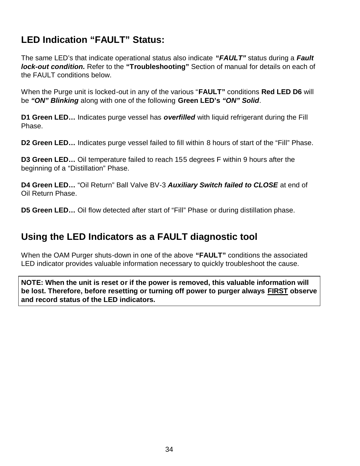#### **LED Indication "FAULT" Status:**

The same LED's that indicate operational status also indicate **"***FAULT"* status during a *Fault lock-out condition.* Refer to the **"Troubleshooting"** Section of manual for details on each of the FAULT conditions below.

When the Purge unit is locked-out in any of the various "**FAULT"** conditions **Red LED D6** will be *"ON" Blinking* along with one of the following **Green LED's** *"ON" Solid*.

**D1 Green LED…** Indicates purge vessel has *overfilled* with liquid refrigerant during the Fill Phase.

**D2 Green LED…** Indicates purge vessel failed to fill within 8 hours of start of the "Fill" Phase.

**D3 Green LED…** Oil temperature failed to reach 155 degrees F within 9 hours after the beginning of a "Distillation" Phase.

**D4 Green LED…** "Oil Return" Ball Valve BV-3 *Auxiliary Switch failed to CLOSE* at end of Oil Return Phase.

**D5 Green LED…** Oil flow detected after start of "Fill" Phase or during distillation phase.

#### **Using the LED Indicators as a FAULT diagnostic tool**

When the OAM Purger shuts-down in one of the above **"FAULT"** conditions the associated LED indicator provides valuable information necessary to quickly troubleshoot the cause.

**NOTE: When the unit is reset or if the power is removed, this valuable information will be lost. Therefore, before resetting or turning off power to purger always FIRST observe and record status of the LED indicators.**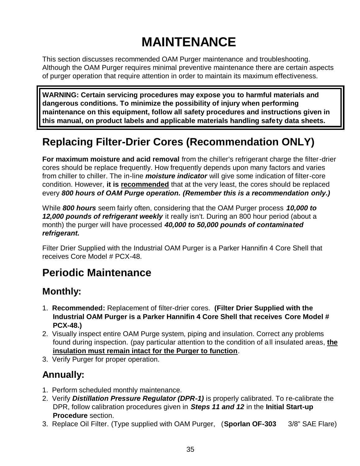# **MAINTENANCE**

This section discusses recommended OAM Purger maintenance and troubleshooting. Although the OAM Purger requires minimal preventive maintenance there are certain aspects of purger operation that require attention in order to maintain its maximum effectiveness.

**WARNING: Certain servicing procedures may expose you to harmful materials and dangerous conditions. To minimize the possibility of injury when performing maintenance on this equipment, follow all safety procedures and instructions given in this manual, on product labels and applicable materials handling safety data sheets.**

## **Replacing Filter-Drier Cores (Recommendation ONLY)**

**For maximum moisture and acid removal** from the chiller's refrigerant charge the filter-drier cores should be replace frequently. How frequently depends upon many factors and varies from chiller to chiller. The in-line *moisture indicator* will give some indication of filter-core condition. However, **it is recommended** that at the very least, the cores should be replaced every *800 hours of OAM Purge operation. (Remember this is a recommendation only.)*

While *800 hours* seem fairly often, considering that the OAM Purger process *10,000 to 12,000 pounds of refrigerant weekly* it really isn't. During an 800 hour period (about a month) the purger will have processed *40,000 to 50,000 pounds of contaminated refrigerant.*

Filter Drier Supplied with the Industrial OAM Purger is a Parker Hannifin 4 Core Shell that receives Core Model # PCX-48.

## **Periodic Maintenance**

### **Monthly:**

- 1. **Recommended:** Replacement of filter-drier cores. **(Filter Drier Supplied with the Industrial OAM Purger is a Parker Hannifin 4 Core Shell that receives Core Model # PCX-48.)**
- 2. Visually inspect entire OAM Purge system, piping and insulation. Correct any problems found during inspection. (pay particular attention to the condition of all insulated areas, **the insulation must remain intact for the Purger to function**.
- 3. Verify Purger for proper operation.

## **Annually:**

- 1. Perform scheduled monthly maintenance.
- 2. Verify *Distillation Pressure Regulator (DPR-1)* is properly calibrated. To re-calibrate the DPR, follow calibration procedures given in *Steps 11 and 12* in the **Initial Start-up Procedure** section.
- 3. Replace Oil Filter. (Type supplied with OAM Purger, (**Sporlan OF-303** 3/8" SAE Flare)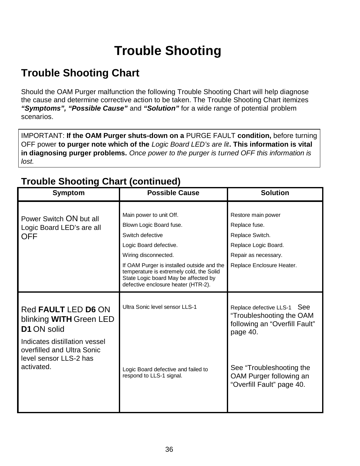## **Trouble Shooting**

## **Trouble Shooting Chart**

Should the OAM Purger malfunction the following Trouble Shooting Chart will help diagnose the cause and determine corrective action to be taken. The Trouble Shooting Chart itemizes *"Symptoms", "Possible Cause"* and *"Solution"* for a wide range of potential problem scenarios.

IMPORTANT: **If the OAM Purger shuts-down on a** PURGE FAULT **condition,** before turning OFF power **to purger note which of the** *Logic Board LED's are lit***. This information is vital in diagnosing purger problems.** *Once power to the purger is turned OFF this information is lost.*

| <b>Symptom</b>                                                                                                                                                                     | <b>Possible Cause</b>                                                                                                                                                                                                                                                                             | <b>Solution</b>                                                                                                                                                                          |  |  |
|------------------------------------------------------------------------------------------------------------------------------------------------------------------------------------|---------------------------------------------------------------------------------------------------------------------------------------------------------------------------------------------------------------------------------------------------------------------------------------------------|------------------------------------------------------------------------------------------------------------------------------------------------------------------------------------------|--|--|
| Power Switch ON but all<br>Logic Board LED's are all<br><b>OFF</b>                                                                                                                 | Main power to unit Off.<br>Blown Logic Board fuse.<br>Switch defective<br>Logic Board defective.<br>Wiring disconnected.<br>If OAM Purger is installed outside and the<br>temperature is extremely cold, the Solid<br>State Logic board May be affected by<br>defective enclosure heater (HTR-2). | Restore main power<br>Replace fuse.<br>Replace Switch.<br>Replace Logic Board.<br>Repair as necessary.<br>Replace Enclosure Heater.                                                      |  |  |
| Red FAULT LED D6 ON<br>blinking <b>WITH</b> Green LED<br><b>D1 ON solid</b><br>Indicates distillation vessel<br>overfilled and Ultra Sonic<br>level sensor LLS-2 has<br>activated. | Ultra Sonic level sensor LLS-1<br>Logic Board defective and failed to<br>respond to LLS-1 signal.                                                                                                                                                                                                 | Replace defective LLS-1 See<br>"Troubleshooting the OAM<br>following an "Overfill Fault"<br>page 40.<br>See "Troubleshooting the<br>OAM Purger following an<br>"Overfill Fault" page 40. |  |  |

### **Trouble Shooting Chart (continued)**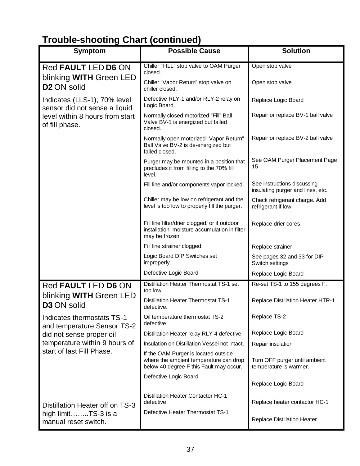## **Trouble-shooting Chart (continued)**

| <b>Symptom</b>                                                | <b>Possible Cause</b>                                                                                                     | <b>Solution</b>                                                  |  |  |
|---------------------------------------------------------------|---------------------------------------------------------------------------------------------------------------------------|------------------------------------------------------------------|--|--|
| Red FAULT LED D6 ON                                           | Chiller "FILL" stop valve to OAM Purger<br>closed.                                                                        | Open stop valve                                                  |  |  |
| blinking WITH Green LED<br><b>D2 ON solid</b>                 | Chiller "Vapor Return" stop valve on<br>chiller closed.                                                                   | Open stop valve                                                  |  |  |
| Indicates (LLS-1), 70% level<br>sensor did not sense a liquid | Defective RLY-1 and/or RLY-2 relay on<br>Logic Board.                                                                     | Replace Logic Board                                              |  |  |
| level within 8 hours from start<br>of fill phase.             | Normally closed motorized "Fill" Ball<br>Valve BV-1 is energized but failed<br>closed.                                    | Repair or replace BV-1 ball valve                                |  |  |
|                                                               | Normally open motorized" Vapor Return"<br>Ball Valve BV-2 is de-energized but<br>failed closed.                           | Repair or replace BV-2 ball valve                                |  |  |
|                                                               | Purger may be mounted in a position that<br>precludes it from filling to the 70% fill<br>level.                           | See OAM Purger Placement Page<br>15                              |  |  |
|                                                               | Fill line and/or components vapor locked.                                                                                 | See instructions discussing<br>insulating purger and lines, etc. |  |  |
|                                                               | Chiller may be low on refrigerant and the<br>level is too low to properly fill the purger.                                | Check refrigerant charge. Add<br>refrigerant if low              |  |  |
|                                                               | Fill line filter/drier clogged, or if outdoor<br>installation, moisture accumulation in filter<br>may be frozen           | Replace drier cores                                              |  |  |
|                                                               | Fill line strainer clogged.                                                                                               | Replace strainer                                                 |  |  |
|                                                               | Logic Board DIP Switches set<br>improperly.                                                                               | See pages 32 and 33 for DIP<br>Switch settings                   |  |  |
|                                                               | Defective Logic Board                                                                                                     | Replace Logic Board                                              |  |  |
| Red FAULT LED D6 ON                                           | Distillation Heater Thermostat TS-1 set<br>too low.                                                                       | Re-set TS-1 to 155 degrees F.                                    |  |  |
| blinking <b>WITH</b> Green LED<br>D3 ON solid                 | <b>Distillation Heater Thermostat TS-1</b><br>defective.                                                                  | <b>Replace Distillation Heater HTR-1</b>                         |  |  |
| Indicates thermostats TS-1<br>and temperature Sensor TS-2     | Oil temperature thermostat TS-2<br>defective.                                                                             | Replace TS-2                                                     |  |  |
| did not sense proper oil                                      | Distillation Heater relay RLY 4 defective                                                                                 | Replace Logic Board                                              |  |  |
| temperature within 9 hours of                                 | Insulation on Distillation Vessel not intact.                                                                             | Repair insulation                                                |  |  |
| start of last Fill Phase.                                     | If the OAM Purger is located outside<br>where the ambient temperature can drop<br>below 40 degree F this Fault may occur. | Turn OFF purger until ambient<br>temperature is warmer.          |  |  |
|                                                               | Defective Logic Board                                                                                                     | Replace Logic Board                                              |  |  |
| Distillation Heater off on TS-3                               | <b>Distillation Heater Contactor HC-1</b><br>defective                                                                    | Replace heater contactor HC-1                                    |  |  |
| high limitTS-3 is a<br>manual reset switch.                   | Defective Heater Thermostat TS-1                                                                                          | <b>Replace Distillation Heater</b>                               |  |  |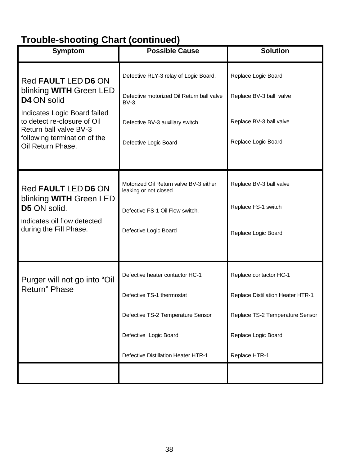## **Trouble-shooting Chart (continued)**

| <b>Symptom</b>                                                                                                                                                                                                     | <b>Possible Cause</b>                                                                                                                                     | <b>Solution</b>                                                                                  |
|--------------------------------------------------------------------------------------------------------------------------------------------------------------------------------------------------------------------|-----------------------------------------------------------------------------------------------------------------------------------------------------------|--------------------------------------------------------------------------------------------------|
| Red FAULT LED D6 ON<br>blinking WITH Green LED<br><b>D4 ON solid</b><br>Indicates Logic Board failed<br>to detect re-closure of Oil<br>Return ball valve BV-3<br>following termination of the<br>Oil Return Phase. | Defective RLY-3 relay of Logic Board.<br>Defective motorized Oil Return ball valve<br>$BV-3.$<br>Defective BV-3 auxiliary switch<br>Defective Logic Board | Replace Logic Board<br>Replace BV-3 ball valve<br>Replace BV-3 ball valve<br>Replace Logic Board |
|                                                                                                                                                                                                                    |                                                                                                                                                           |                                                                                                  |
| Red FAULT LED D6 ON<br>blinking <b>WITH</b> Green LED<br><b>D5 ON solid.</b>                                                                                                                                       | Motorized Oil Return valve BV-3 either<br>leaking or not closed.                                                                                          | Replace BV-3 ball valve<br>Replace FS-1 switch                                                   |
| Indicates oil flow detected                                                                                                                                                                                        | Defective FS-1 Oil Flow switch.                                                                                                                           |                                                                                                  |
| during the Fill Phase.                                                                                                                                                                                             | Defective Logic Board                                                                                                                                     | Replace Logic Board                                                                              |
|                                                                                                                                                                                                                    |                                                                                                                                                           |                                                                                                  |
| Purger will not go into "Oil                                                                                                                                                                                       | Defective heater contactor HC-1                                                                                                                           | Replace contactor HC-1                                                                           |
| Return" Phase                                                                                                                                                                                                      | Defective TS-1 thermostat                                                                                                                                 | <b>Replace Distillation Heater HTR-1</b>                                                         |
|                                                                                                                                                                                                                    | Defective TS-2 Temperature Sensor                                                                                                                         | Replace TS-2 Temperature Sensor                                                                  |
|                                                                                                                                                                                                                    | Defective Logic Board                                                                                                                                     | Replace Logic Board                                                                              |
|                                                                                                                                                                                                                    | <b>Defective Distillation Heater HTR-1</b>                                                                                                                | Replace HTR-1                                                                                    |
|                                                                                                                                                                                                                    |                                                                                                                                                           |                                                                                                  |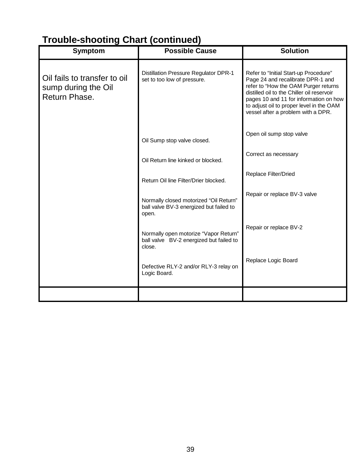## **Trouble-shooting Chart (continued)**

| <b>Symptom</b>                                                       | <b>Possible Cause</b>                                                                      | <b>Solution</b>                                                                                                                                                                                                                                                                              |
|----------------------------------------------------------------------|--------------------------------------------------------------------------------------------|----------------------------------------------------------------------------------------------------------------------------------------------------------------------------------------------------------------------------------------------------------------------------------------------|
| Oil fails to transfer to oil<br>sump during the Oil<br>Return Phase. | <b>Distillation Pressure Regulator DPR-1</b><br>set to too low of pressure.                | Refer to "Initial Start-up Procedure"<br>Page 24 and recalibrate DPR-1 and<br>refer to "How the OAM Purger returns<br>distilled oil to the Chiller oil reservoir<br>pages 10 and 11 for information on how<br>to adjust oil to proper level in the OAM<br>vessel after a problem with a DPR. |
|                                                                      | Oil Sump stop valve closed.                                                                | Open oil sump stop valve                                                                                                                                                                                                                                                                     |
|                                                                      | Oil Return line kinked or blocked.                                                         | Correct as necessary                                                                                                                                                                                                                                                                         |
|                                                                      | Return Oil line Filter/Drier blocked.                                                      | Replace Filter/Dried                                                                                                                                                                                                                                                                         |
|                                                                      | Normally closed motorized "Oil Return"<br>ball valve BV-3 energized but failed to<br>open. | Repair or replace BV-3 valve                                                                                                                                                                                                                                                                 |
|                                                                      | Normally open motorize "Vapor Return"<br>ball valve BV-2 energized but failed to<br>close. | Repair or replace BV-2                                                                                                                                                                                                                                                                       |
|                                                                      | Defective RLY-2 and/or RLY-3 relay on<br>Logic Board.                                      | Replace Logic Board                                                                                                                                                                                                                                                                          |
|                                                                      |                                                                                            |                                                                                                                                                                                                                                                                                              |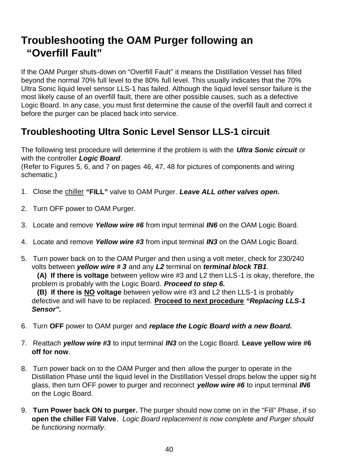## **Troubleshooting the OAM Purger following an "Overfill Fault"**

If the OAM Purger shuts-down on "Overfill Fault" it means the Distillation Vessel has filled beyond the normal 70% full level to the 80% full level. This usually indicates that the 70% Ultra Sonic liquid level sensor LLS-1 has failed. Although the liquid level sensor failure is the most likely cause of an overfill fault, there are other possible causes, such as a defective Logic Board. In any case, you must first determine the cause of the overfill fault and correct it before the purger can be placed back into service.

#### **Troubleshooting Ultra Sonic Level Sensor LLS-1 circuit**

The following test procedure will determine if the problem is with the *Ultra Sonic circuit* or with the controller *Logic Board*.

(Refer to Figures 5, 6, and 7 on pages 46, 47, 48 for pictures of components and wiring schematic.)

- 1. Close the chiller **"FILL"** valve to OAM Purger. *Leave ALL other valves open.*
- 2. Turn OFF power to OAM Purger.
- 3. Locate and remove *Yellow wire #6* from input terminal *IN6* on the OAM Logic Board.
- 4. Locate and remove *Yellow wire #3* from input terminal *IN3* on the OAM Logic Board.
- 5. Turn power back on to the OAM Purger and then using a volt meter, check for 230/240 volts between *yellow wire # 3* and any *L2* terminal on *terminal block TB1*.

**(A) If there is voltage** between yellow wire #3 and L2 then LLS-1 is okay, therefore, the problem is probably with the Logic Board. *Proceed to step 6.*

**(B) If there is NO voltage** between yellow wire #3 and L2 then LLS-1 is probably defective and will have to be replaced. **Proceed to next procedure** *"Replacing LLS-1 Sensor".*

- 6. Turn **OFF** power to OAM purger and *replace the Logic Board with a new Board.*
- 7. Reattach *yellow wire #3* to input terminal *IN3* on the Logic Board. **Leave yellow wire #6 off for now**.
- 8. Turn power back on to the OAM Purger and then allow the purger to operate in the Distillation Phase until the liquid level in the Distillation Vessel drops below the upper sig ht glass, then turn OFF power to purger and reconnect *yellow wire #6* to input terminal *IN6*  on the Logic Board.
- 9. **Turn Power back ON to purger.** The purger should now come on in the "Fill" Phase, if so **open the chiller Fill Valve**. *Logic Board replacement is now complete and Purger should be functioning normally.*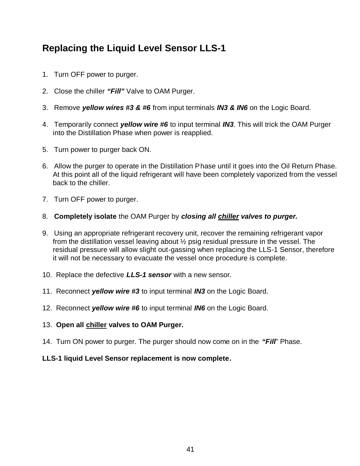#### **Replacing the Liquid Level Sensor LLS-1**

- 1. Turn OFF power to purger.
- 2. Close the chiller *"Fill"* Valve to OAM Purger.
- 3. Remove *yellow wires #3 & #6* from input terminals *IN3 & IN6* on the Logic Board.
- 4. Temporarily connect *yellow wire #6* to input terminal *IN3*. This will trick the OAM Purger into the Distillation Phase when power is reapplied.
- 5. Turn power to purger back ON.
- 6. Allow the purger to operate in the Distillation Phase until it goes into the Oil Return Phase. At this point all of the liquid refrigerant will have been completely vaporized from the vessel back to the chiller.
- 7. Turn OFF power to purger.

#### 8. **Completely isolate** the OAM Purger by *closing all chiller valves to purger.*

- 9. Using an appropriate refrigerant recovery unit, recover the remaining refrigerant vapor from the distillation vessel leaving about ½ psig residual pressure in the vessel. The residual pressure will allow slight out-gassing when replacing the LLS-1 Sensor, therefore it will not be necessary to evacuate the vessel once procedure is complete.
- 10. Replace the defective *LLS-1 sensor* with a new sensor.
- 11. Reconnect *yellow wire #3* to input terminal *IN3* on the Logic Board.
- 12. Reconnect *yellow wire #6* to input terminal *IN6* on the Logic Board.
- 13. **Open all chiller valves to OAM Purger.**
- 14. Turn ON power to purger. The purger should now come on in the *"Fill*" Phase.
- **LLS-1 liquid Level Sensor replacement is now complete.**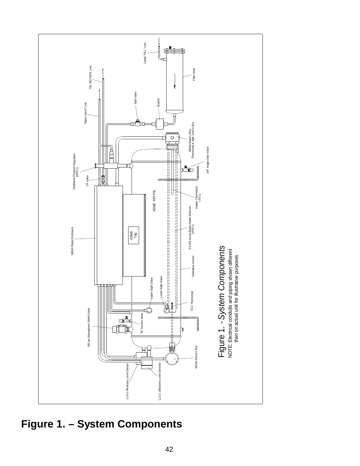

**Figure 1. – System Components**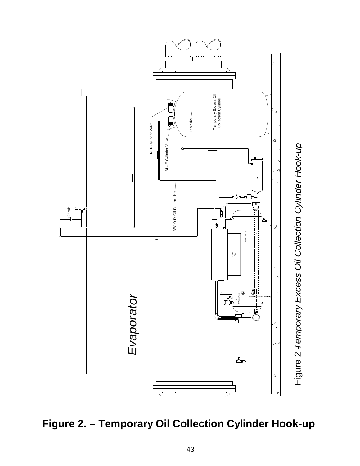

**Figure 2. – Temporary Oil Collection Cylinder Hook-up**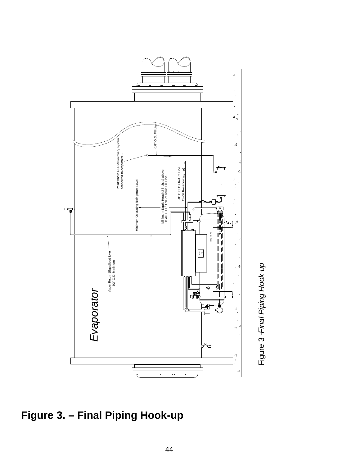

**Figure 3. – Final Piping Hook-up**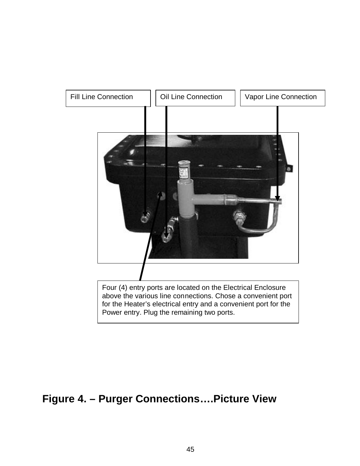

above the various line connections. Chose a convenient port for the Heater's electrical entry and a convenient port for the Power entry. Plug the remaining two ports.

## **Figure 4. – Purger Connections….Picture View**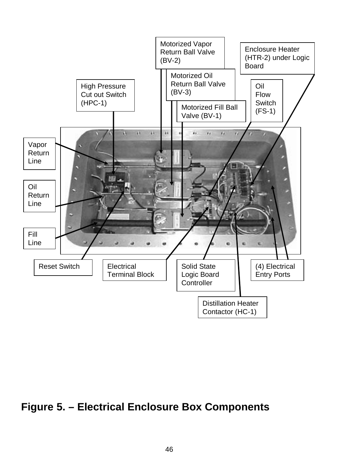

### **Figure 5. – Electrical Enclosure Box Components**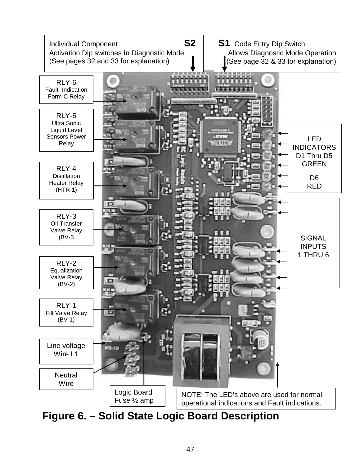

## **Figure 6. – Solid State Logic Board Description**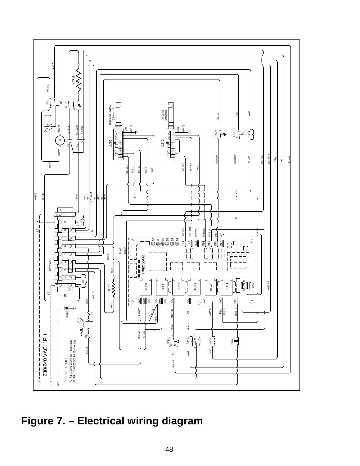

## **Figure 7. – Electrical wiring diagram**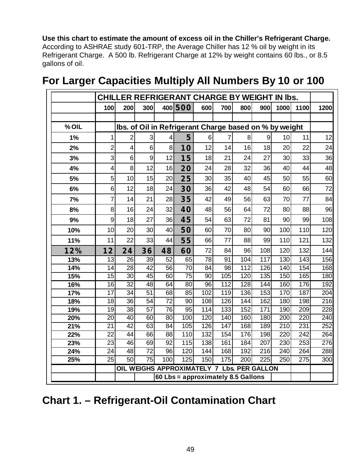#### **Use this chart to estimate the amount of excess oil in the Chiller's Refrigerant Charge.** According to ASHRAE study 601-TRP, the Average Chiller has 12 % oil by weight in its Refrigerant Charge. A 500 lb. Refrigerant Charge at 12% by weight contains 60 lbs., or 8.5 gallons of oil.

| CHILLER REFRIGERANT CHARGE BY WEIGHT IN Ibs. |                 |                 |                 |                 |                 |                 |                  |                                                        |     |      |                  |      |
|----------------------------------------------|-----------------|-----------------|-----------------|-----------------|-----------------|-----------------|------------------|--------------------------------------------------------|-----|------|------------------|------|
|                                              | 100             | 200             | 300             |                 | 400 500         | 600             | 700              | 800                                                    | 900 | 1000 | 1100             | 1200 |
|                                              |                 |                 |                 |                 |                 |                 |                  |                                                        |     |      |                  |      |
| % OIL                                        |                 |                 |                 |                 |                 |                 |                  | Ibs. of Oil in Refrigerant Charge based on % by weight |     |      |                  |      |
| 1%                                           | 1               | $\overline{2}$  | $\overline{3}$  | $\vert 4 \vert$ | 5               | 6               | 7                | 8                                                      | 9   | 10   | 11               | 12   |
| 2%                                           | $\overline{2}$  | 4               | 6               | $\bf{8}$        | 10              | 12              | 14               | 16                                                     | 18  | 20   | 22               | 24   |
| 3%                                           | 3               | 6               | $\overline{9}$  | 12              | 15              | 18              | 21               | 24                                                     | 27  | 30   | 33               | 36   |
| 4%                                           | 4               | 8               | 12              | 16              | 20              | 24              | 28               | 32                                                     | 36  | 40   | 44               | 48   |
| 5%                                           | 5               | 10              | 15              | 20              | 25              | 30              | 35               | 40                                                     | 45  | 50   | 55               | 60   |
| 6%                                           | 6               | 12              | 18              | 24              | 30              | 36              | 42               | 48                                                     | 54  | 60   | 66               | 72   |
| 7%                                           | 7               | 14              | 21              | 28              | 35              | 42              | 49               | 56                                                     | 63  | 70   | 77               | 84   |
| 8%                                           | 8               | 16              | 24              | 32              | 40              | 48              | 56               | 64                                                     | 72  | 80   | 88               | 96   |
| 9%                                           | 9               | 18              | 27              | 36              | 45              | 54              | 63               | 72                                                     | 81  | 90   | 99               | 108  |
| 10%                                          | 10              | 20              | 30              | 40              | 50              | 60              | 70               | 80                                                     | 90  | 100  | 110              | 120  |
| 11%                                          | 11              | 22              | 33              | 44              | 55              | 66              | 77               | 88                                                     | 99  | 110  | 121              | 132  |
| 12%                                          | 12              | 24              | 36              | 48              | 60              | 72              | 84               | 96                                                     | 108 | 120  | 132              | 144  |
| 13%                                          | 13              | $\overline{26}$ | 39              | 52              | 65              | $\overline{78}$ | $\overline{91}$  | 104                                                    | 117 | 130  | $\overline{143}$ | 156  |
| 14%                                          | 14              | 28              | 42              | 56              | 70              | 84              | 98               | 112                                                    | 126 | 140  | 154              | 168  |
| 15%                                          | $\overline{15}$ | $\overline{30}$ | $\overline{45}$ | 60              | $\overline{75}$ | $\overline{90}$ | 105              | 120                                                    | 135 | 150  | 165              | 180  |
| 16%                                          | 16              | $\overline{32}$ | $\overline{48}$ | 64              | 80              | 96              | $\overline{112}$ | $\overline{128}$                                       | 144 | 160  | 176              | 192  |
| 17%                                          | 17              | $\overline{34}$ | 51              | 68              | 85              | 102             | 119              | 136                                                    | 153 | 170  | 187              | 204  |
| 18%                                          | 18              | 36              | 54              | 72              | 90              | 108             | 126              | 144                                                    | 162 | 180  | 198              | 216  |
| 19%                                          | 19              | $\overline{38}$ | $\overline{57}$ | $\overline{76}$ | 95              | 114             | 133              | 152                                                    | 171 | 190  | 209              | 228  |
| 20%                                          | $\overline{20}$ | 40              | 60              | 80              | 100             | 120             | 140              | 160                                                    | 180 | 200  | 220              | 240  |
| 21%                                          | 21              | 42              | 63              | 84              | 105             | 126             | 147              | 168                                                    | 189 | 210  | 231              | 252  |
| 22%                                          | 22              | 44              | 66              | $\overline{88}$ | 110             | 132             | 154              | 176                                                    | 198 | 220  | 242              | 264  |
| 23%                                          | 23              | 46              | 69              | $\overline{92}$ | 115             | 138             | 161              | 184                                                    | 207 | 230  | 253              | 276  |
| 24%                                          | $\overline{24}$ | $\overline{48}$ | 72              | $\overline{96}$ | 120             | 144             | 168              | 192                                                    | 216 | 240  | 264              | 288  |
| 25%                                          | 25              | 50              | 75              | 100             | 125             | 150             | 175              | 200                                                    | 225 | 250  | 275              | 300  |
| OIL WEIGHS APPROXIMATELY 7 Lbs. PER GALLON   |                 |                 |                 |                 |                 |                 |                  |                                                        |     |      |                  |      |
|                                              |                 |                 |                 |                 |                 |                 |                  | 60 Lbs = approximately 8.5 Gallons                     |     |      |                  |      |

## **For Larger Capacities Multiply All Numbers By 10 or 100**

## **Chart 1. – Refrigerant-Oil Contamination Chart**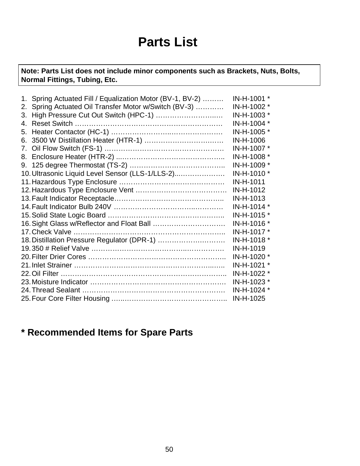## **Parts List**

#### **Note: Parts List does not include minor components such as Brackets, Nuts, Bolts, Normal Fittings, Tubing, Etc.**

|    | 1. Spring Actuated Fill / Equalization Motor (BV-1, BV-2) | IN-H-1001 * |
|----|-----------------------------------------------------------|-------------|
| 2. | Spring Actuated Oil Transfer Motor w/Switch (BV-3)        | IN-H-1002 * |
| 3. |                                                           | IN-H-1003 * |
| 4. |                                                           | IN-H-1004 * |
| 5. |                                                           | IN-H-1005 * |
| 6. |                                                           | IN-H-1006   |
| 7. |                                                           | IN-H-1007 * |
|    |                                                           | IN-H-1008 * |
|    |                                                           | IN-H-1009 * |
|    | 10. Ultrasonic Liquid Level Sensor (LLS-1/LLS-2)          | IN-H-1010 * |
|    |                                                           | IN-H-1011   |
|    |                                                           | IN-H-1012   |
|    |                                                           | IN-H-1013   |
|    |                                                           | IN-H-1014 * |
|    |                                                           | IN-H-1015 * |
|    | 16. Sight Glass w/Reflector and Float Ball                | IN-H-1016 * |
|    |                                                           | IN-H-1017 * |
|    | 18. Distillation Pressure Regulator (DPR-1)               | IN-H-1018 * |
|    |                                                           | IN-H-1019   |
|    |                                                           | IN-H-1020 * |
|    |                                                           | IN-H-1021 * |
|    |                                                           | IN-H-1022 * |
|    |                                                           | IN-H-1023 * |
|    |                                                           | IN-H-1024 * |
|    |                                                           | IN-H-1025   |
|    |                                                           |             |

## **\* Recommended Items for Spare Parts**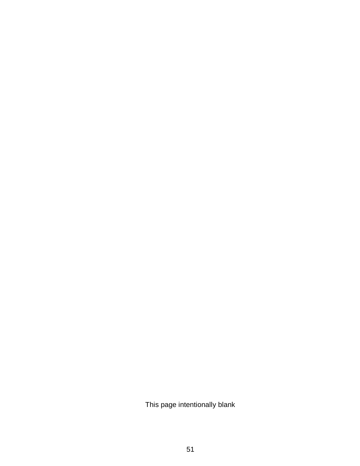This page intentionally blank